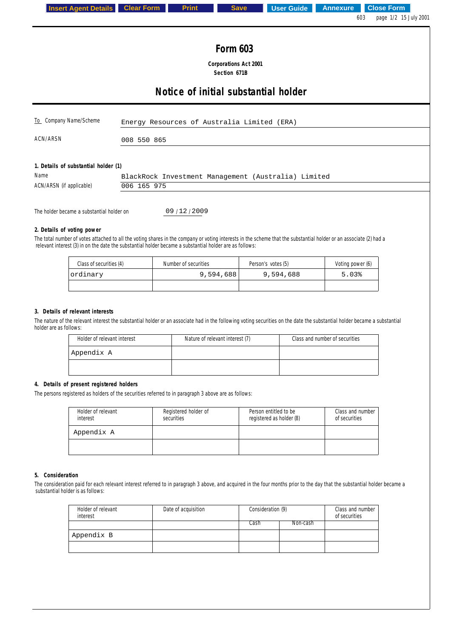|                                                                                                                                                                                                                                                                               |             |                                              |                                                     | 603<br>page 1/2 15 July 2001 |
|-------------------------------------------------------------------------------------------------------------------------------------------------------------------------------------------------------------------------------------------------------------------------------|-------------|----------------------------------------------|-----------------------------------------------------|------------------------------|
|                                                                                                                                                                                                                                                                               |             |                                              |                                                     |                              |
|                                                                                                                                                                                                                                                                               |             | <b>Form 603</b>                              |                                                     |                              |
|                                                                                                                                                                                                                                                                               |             | <b>Corporations Act 2001</b><br>Section 671B |                                                     |                              |
|                                                                                                                                                                                                                                                                               |             |                                              |                                                     |                              |
|                                                                                                                                                                                                                                                                               |             | Notice of initial substantial holder         |                                                     |                              |
| To Company Name/Scheme                                                                                                                                                                                                                                                        |             | Energy Resources of Australia Limited (ERA)  |                                                     |                              |
| ACN/ARSN                                                                                                                                                                                                                                                                      | 008 550 865 |                                              |                                                     |                              |
|                                                                                                                                                                                                                                                                               |             |                                              |                                                     |                              |
|                                                                                                                                                                                                                                                                               |             |                                              |                                                     |                              |
| 1. Details of substantial holder (1)<br>Name                                                                                                                                                                                                                                  |             |                                              | BlackRock Investment Management (Australia) Limited |                              |
| ACN/ARSN (if applicable)                                                                                                                                                                                                                                                      | 006 165 975 |                                              |                                                     |                              |
|                                                                                                                                                                                                                                                                               |             |                                              |                                                     |                              |
| The holder became a substantial holder on                                                                                                                                                                                                                                     |             | 09/12/2009                                   |                                                     |                              |
| 2. Details of voting power                                                                                                                                                                                                                                                    |             |                                              |                                                     |                              |
| The total number of votes attached to all the voting shares in the company or voting interests in the scheme that the substantial holder or an associate (2) had a<br>relevant interest (3) in on the date the substantial holder became a substantial holder are as follows: |             |                                              |                                                     |                              |
| Class of securities (4)                                                                                                                                                                                                                                                       |             | Number of securities                         | Person's votes (5)                                  | Voting power (6)             |
|                                                                                                                                                                                                                                                                               |             | 9,594,688                                    | 9,594,688                                           | 5.03%                        |
| ordinary                                                                                                                                                                                                                                                                      |             |                                              |                                                     |                              |

The nature of the relevant interest the substantial holder or an associate had in the following voting securities on the date the substantial holder became a substantial holder are as follows:

| Holder of relevant interest | Nature of relevant interest (7) | Class and number of securities |
|-----------------------------|---------------------------------|--------------------------------|
| 'Appendix A                 |                                 |                                |
|                             |                                 |                                |

## **4. Details of present registered holders**

The persons registered as holders of the securities referred to in paragraph 3 above are as follows:

| Holder of relevant<br>interest | Registered holder of<br>securities | Person entitled to be<br>registered as holder (8) | Class and number<br>of securities |
|--------------------------------|------------------------------------|---------------------------------------------------|-----------------------------------|
| Appendix A                     |                                    |                                                   |                                   |
|                                |                                    |                                                   |                                   |

## **5. Consideration**

The consideration paid for each relevant interest referred to in paragraph 3 above, and acquired in the four months prior to the day that the substantial holder became a substantial holder is as follows:

| Holder of relevant<br>interest | Date of acquisition | Consideration (9) |          | Class and number<br>of securities |
|--------------------------------|---------------------|-------------------|----------|-----------------------------------|
|                                |                     | Cash              | Non-cash |                                   |
| Appendix B                     |                     |                   |          |                                   |
|                                |                     |                   |          |                                   |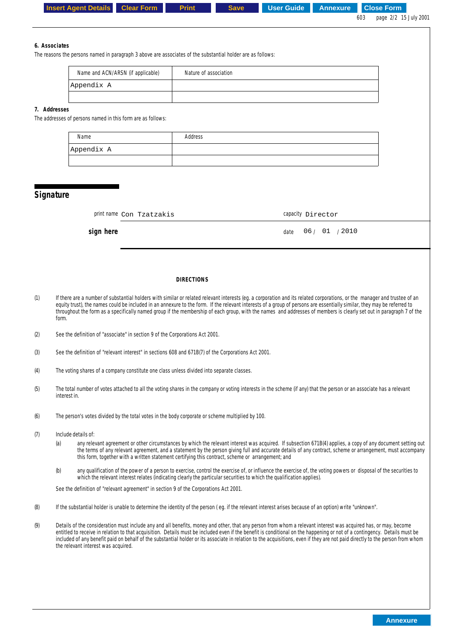|               | <b>Insert Agent Details</b><br><b>Clear Form</b>                                                                                                                                                                                                                                                                                                                                                                                                                                                                                                                      | <b>Print</b>          | <b>Save</b> | <b>User Guide</b> | <b>Annexure</b> | <b>Close Form</b><br>page 2/2 15 July 2001<br>603 |
|---------------|-----------------------------------------------------------------------------------------------------------------------------------------------------------------------------------------------------------------------------------------------------------------------------------------------------------------------------------------------------------------------------------------------------------------------------------------------------------------------------------------------------------------------------------------------------------------------|-----------------------|-------------|-------------------|-----------------|---------------------------------------------------|
| 6. Associates |                                                                                                                                                                                                                                                                                                                                                                                                                                                                                                                                                                       |                       |             |                   |                 |                                                   |
|               | The reasons the persons named in paragraph 3 above are associates of the substantial holder are as follows:                                                                                                                                                                                                                                                                                                                                                                                                                                                           |                       |             |                   |                 |                                                   |
|               | Name and ACN/ARSN (if applicable)                                                                                                                                                                                                                                                                                                                                                                                                                                                                                                                                     | Nature of association |             |                   |                 |                                                   |
|               | Appendix A                                                                                                                                                                                                                                                                                                                                                                                                                                                                                                                                                            |                       |             |                   |                 |                                                   |
| 7. Addresses  | The addresses of persons named in this form are as follows:                                                                                                                                                                                                                                                                                                                                                                                                                                                                                                           |                       |             |                   |                 |                                                   |
|               | Name                                                                                                                                                                                                                                                                                                                                                                                                                                                                                                                                                                  | Address               |             |                   |                 |                                                   |
|               | Appendix A                                                                                                                                                                                                                                                                                                                                                                                                                                                                                                                                                            |                       |             |                   |                 |                                                   |
|               |                                                                                                                                                                                                                                                                                                                                                                                                                                                                                                                                                                       |                       |             |                   |                 |                                                   |
| Signature     |                                                                                                                                                                                                                                                                                                                                                                                                                                                                                                                                                                       |                       |             |                   |                 |                                                   |
|               | print name Con Tzatzakis                                                                                                                                                                                                                                                                                                                                                                                                                                                                                                                                              |                       |             | capacity Director |                 |                                                   |
|               | sign here                                                                                                                                                                                                                                                                                                                                                                                                                                                                                                                                                             |                       |             | date              | 06/01/2010      |                                                   |
|               |                                                                                                                                                                                                                                                                                                                                                                                                                                                                                                                                                                       |                       |             |                   |                 |                                                   |
|               |                                                                                                                                                                                                                                                                                                                                                                                                                                                                                                                                                                       |                       |             |                   |                 |                                                   |
|               |                                                                                                                                                                                                                                                                                                                                                                                                                                                                                                                                                                       | <b>DIRECTIONS</b>     |             |                   |                 |                                                   |
|               | If there are a number of substantial holders with similar or related relevant interests (eg. a corporation and its related corporations, or the manager and trustee of an<br>equity trust), the names could be included in an annexure to the form. If the relevant interests of a group of persons are essentially similar, they may be referred to<br>throughout the form as a specifically named group if the membership of each group, with the names and addresses of members is clearly set out in paragraph 7 of the<br>form.                                  |                       |             |                   |                 |                                                   |
| (2)           | See the definition of "associate" in section 9 of the Corporations Act 2001.                                                                                                                                                                                                                                                                                                                                                                                                                                                                                          |                       |             |                   |                 |                                                   |
|               | See the definition of "relevant interest" in sections 608 and 671B(7) of the Corporations Act 2001.                                                                                                                                                                                                                                                                                                                                                                                                                                                                   |                       |             |                   |                 |                                                   |
|               | The voting shares of a company constitute one class unless divided into separate classes.                                                                                                                                                                                                                                                                                                                                                                                                                                                                             |                       |             |                   |                 |                                                   |
| (5)           | The total number of votes attached to all the voting shares in the company or voting interests in the scheme (if any) that the person or an associate has a relevant<br>interest in.                                                                                                                                                                                                                                                                                                                                                                                  |                       |             |                   |                 |                                                   |
| (6)           | The person's votes divided by the total votes in the body corporate or scheme multiplied by 100.                                                                                                                                                                                                                                                                                                                                                                                                                                                                      |                       |             |                   |                 |                                                   |
| (7)           | Include details of:                                                                                                                                                                                                                                                                                                                                                                                                                                                                                                                                                   |                       |             |                   |                 |                                                   |
|               | any relevant agreement or other circumstances by which the relevant interest was acquired. If subsection 671B(4) applies, a copy of any document setting out<br>(a)<br>the terms of any relevant agreement, and a statement by the person giving full and accurate details of any contract, scheme or arrangement, must accompany<br>this form, together with a written statement certifying this contract, scheme or arrangement; and                                                                                                                                |                       |             |                   |                 |                                                   |
|               | any qualification of the power of a person to exercise, control the exercise of, or influence the exercise of, the voting powers or disposal of the securities to<br>(b)<br>which the relevant interest relates (indicating clearly the particular securities to which the qualification applies).                                                                                                                                                                                                                                                                    |                       |             |                   |                 |                                                   |
|               | See the definition of "relevant agreement" in section 9 of the Corporations Act 2001.                                                                                                                                                                                                                                                                                                                                                                                                                                                                                 |                       |             |                   |                 |                                                   |
|               | If the substantial holder is unable to determine the identity of the person (eg. if the relevant interest arises because of an option) write "unknown".                                                                                                                                                                                                                                                                                                                                                                                                               |                       |             |                   |                 |                                                   |
| (9)           | Details of the consideration must include any and all benefits, money and other, that any person from whom a relevant interest was acquired has, or may, become<br>entitled to receive in relation to that acquisition. Details must be included even if the benefit is conditional on the happening or not of a contingency. Details must be<br>included of any benefit paid on behalf of the substantial holder or its associate in relation to the acquisitions, even if they are not paid directly to the person from whom<br>the relevant interest was acquired. |                       |             |                   |                 |                                                   |
|               |                                                                                                                                                                                                                                                                                                                                                                                                                                                                                                                                                                       |                       |             |                   |                 |                                                   |
|               |                                                                                                                                                                                                                                                                                                                                                                                                                                                                                                                                                                       |                       |             |                   |                 |                                                   |
|               |                                                                                                                                                                                                                                                                                                                                                                                                                                                                                                                                                                       |                       |             |                   |                 |                                                   |
|               |                                                                                                                                                                                                                                                                                                                                                                                                                                                                                                                                                                       |                       |             |                   |                 | <b>Annexure</b>                                   |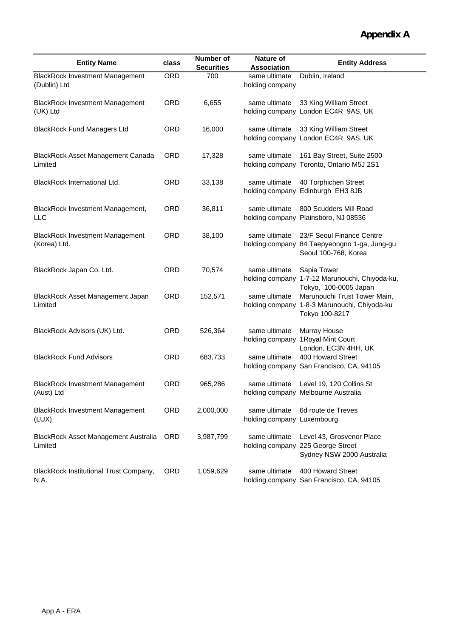| <b>Entity Name</b>                                     | class      | <b>Number of</b><br><b>Securities</b> | Nature of<br><b>Association</b>             | <b>Entity Address</b>                                                                             |
|--------------------------------------------------------|------------|---------------------------------------|---------------------------------------------|---------------------------------------------------------------------------------------------------|
| <b>BlackRock Investment Management</b><br>(Dublin) Ltd | ORD        | 700                                   | same ultimate<br>holding company            | Dublin, Ireland                                                                                   |
| <b>BlackRock Investment Management</b><br>(UK) Ltd     | <b>ORD</b> | 6,655                                 | same ultimate                               | 33 King William Street<br>holding company London EC4R 9AS, UK                                     |
| <b>BlackRock Fund Managers Ltd</b>                     | <b>ORD</b> | 16,000                                | same ultimate                               | 33 King William Street<br>holding company London EC4R 9AS, UK                                     |
| BlackRock Asset Management Canada<br>Limited           | <b>ORD</b> | 17,328                                | same ultimate                               | 161 Bay Street, Suite 2500<br>holding company Toronto, Ontario M5J 2S1                            |
| BlackRock International Ltd.                           | <b>ORD</b> | 33,138                                | same ultimate                               | 40 Torphichen Street<br>holding company Edinburgh EH3 8JB                                         |
| BlackRock Investment Management,<br><b>LLC</b>         | <b>ORD</b> | 36,811                                | same ultimate                               | 800 Scudders Mill Road<br>holding company Plainsboro, NJ 08536                                    |
| <b>BlackRock Investment Management</b><br>(Korea) Ltd. | <b>ORD</b> | 38,100                                | same ultimate                               | 23/F Seoul Finance Centre<br>holding company 84 Taepyeongno 1-ga, Jung-gu<br>Seoul 100-768, Korea |
| BlackRock Japan Co. Ltd.                               | <b>ORD</b> | 70,574                                | same ultimate                               | Sapia Tower<br>holding company 1-7-12 Marunouchi, Chiyoda-ku,<br>Tokyo, 100-0005 Japan            |
| BlackRock Asset Management Japan<br>Limited            | <b>ORD</b> | 152,571                               | same ultimate                               | Marunouchi Trust Tower Main,<br>holding company 1-8-3 Marunouchi, Chiyoda-ku<br>Tokyo 100-8217    |
| BlackRock Advisors (UK) Ltd.                           | <b>ORD</b> | 526,364                               | same ultimate                               | Murray House<br>holding company 1Royal Mint Court                                                 |
| <b>BlackRock Fund Advisors</b>                         | <b>ORD</b> | 683,733                               | same ultimate                               | London, EC3N 4HH, UK<br>400 Howard Street<br>holding company San Francisco, CA, 94105             |
| <b>BlackRock Investment Management</b><br>(Aust) Ltd   | <b>ORD</b> | 965,286                               | same ultimate                               | Level 19, 120 Collins St<br>holding company Melbourne Australia                                   |
| <b>BlackRock Investment Management</b><br>(LUX)        | <b>ORD</b> | 2,000,000                             | same ultimate<br>holding company Luxembourg | 6d route de Treves                                                                                |
| BlackRock Asset Management Australia<br>Limited        | <b>ORD</b> | 3,987,799                             | same ultimate                               | Level 43, Grosvenor Place<br>holding company 225 George Street<br>Sydney NSW 2000 Australia       |
| BlackRock Institutional Trust Company,<br>N.A.         | <b>ORD</b> | 1,059,629                             | same ultimate                               | 400 Howard Street<br>holding company San Francisco, CA, 94105                                     |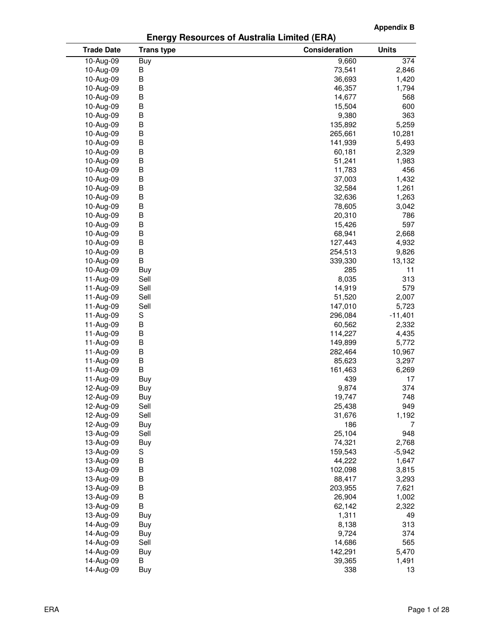**Appendix B**

## **Energy Resources of Australia Limited (ERA)**

| <b>Trade Date</b> | <b>Trans type</b> | Consideration | <b>Units</b> |
|-------------------|-------------------|---------------|--------------|
| 10-Aug-09         | Buy               | 9,660         | 374          |
| 10-Aug-09         | B                 | 73,541        | 2,846        |
| 10-Aug-09         | B                 | 36,693        | 1,420        |
| 10-Aug-09         | B                 | 46,357        | 1,794        |
| 10-Aug-09         | В                 | 14,677        | 568          |
| 10-Aug-09         | В                 | 15,504        | 600          |
| 10-Aug-09         | B                 | 9,380         | 363          |
| 10-Aug-09         | B                 | 135,892       | 5,259        |
| 10-Aug-09         | B                 | 265,661       | 10,281       |
| 10-Aug-09         | B                 | 141,939       | 5,493        |
| 10-Aug-09         | B                 | 60,181        | 2,329        |
| 10-Aug-09         | B                 | 51,241        | 1,983        |
| 10-Aug-09         | B                 | 11,783        | 456          |
| 10-Aug-09         | В                 | 37,003        | 1,432        |
| 10-Aug-09         | B                 | 32,584        | 1,261        |
| 10-Aug-09         | B                 | 32,636        | 1,263        |
| 10-Aug-09         | B                 | 78,605        | 3,042        |
| 10-Aug-09         | В                 | 20,310        | 786          |
| 10-Aug-09         | B                 | 15,426        | 597          |
| 10-Aug-09         | B                 | 68,941        | 2,668        |
| 10-Aug-09         | B                 | 127,443       | 4,932        |
| 10-Aug-09         | B                 | 254,513       | 9,826        |
| 10-Aug-09         | B                 | 339,330       | 13,132       |
| 10-Aug-09         | Buy               | 285           | 11           |
| 11-Aug-09         | Sell              | 8,035         | 313          |
| 11-Aug-09         | Sell              | 14,919        | 579          |
| 11-Aug-09         | Sell              | 51,520        | 2,007        |
| 11-Aug-09         | Sell              | 147,010       | 5,723        |
| 11-Aug-09         | S                 | 296,084       | $-11,401$    |
| 11-Aug-09         | B                 | 60,562        | 2,332        |
| 11-Aug-09         | B                 | 114,227       | 4,435        |
| 11-Aug-09         | B                 | 149,899       | 5,772        |
| 11-Aug-09         | B                 | 282,464       | 10,967       |
| 11-Aug-09         | B                 | 85,623        | 3,297        |
| 11-Aug-09         | B                 | 161,463       | 6,269        |
| 11-Aug-09         | Buy               | 439           | 17           |
| 12-Aug-09         | Buy               | 9,874         | 374          |
| 12-Aug-09         | Buy               | 19,747        | 748          |
| 12-Aug-09         | Sell              | 25,438        | 949          |
| 12-Aug-09         | Sell              | 31,676        | 1,192        |
| 12-Aug-09         | Buy               | 186           | 7            |
| 13-Aug-09         | Sell              | 25,104        | 948          |
| 13-Aug-09         | Buy               | 74,321        | 2,768        |
| 13-Aug-09         | S                 | 159,543       | $-5,942$     |
| 13-Aug-09         | В                 | 44,222        | 1,647        |
| 13-Aug-09         | B                 | 102,098       | 3,815        |
| 13-Aug-09         | B                 | 88,417        | 3,293        |
| 13-Aug-09         | B                 | 203,955       | 7,621        |
| 13-Aug-09         | B                 | 26,904        | 1,002        |
| 13-Aug-09         | B                 | 62,142        | 2,322        |
| 13-Aug-09         | Buy               | 1,311         | 49           |
| 14-Aug-09         | Buy               | 8,138         | 313          |
| 14-Aug-09         | Buy               | 9,724         | 374          |
| 14-Aug-09         | Sell              | 14,686        | 565          |
| 14-Aug-09         | Buy               | 142,291       | 5,470        |
| 14-Aug-09         | В                 | 39,365        | 1,491        |
| 14-Aug-09         | Buy               | 338           | 13           |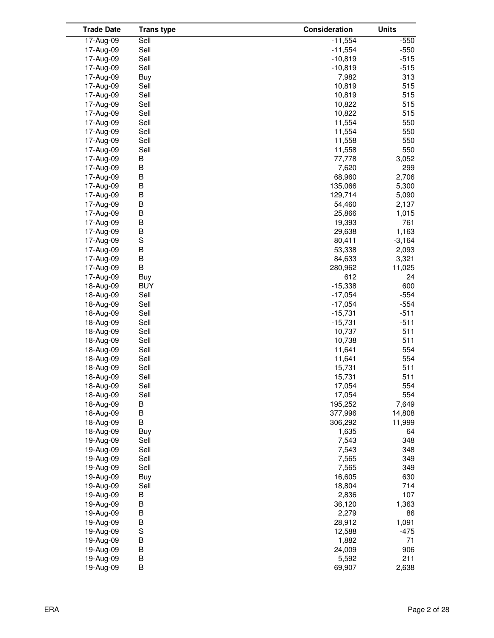| <b>Trade Date</b>      | <b>Trans type</b> | Consideration   | <b>Units</b> |
|------------------------|-------------------|-----------------|--------------|
| 17-Aug-09              | Sell              | $-11,554$       | $-550$       |
| 17-Aug-09              | Sell              | $-11,554$       | $-550$       |
| 17-Aug-09              | Sell              | $-10,819$       | $-515$       |
| 17-Aug-09              | Sell              | $-10,819$       | $-515$       |
| 17-Aug-09              | Buy               | 7,982           | 313          |
| 17-Aug-09              | Sell              | 10,819          | 515          |
| 17-Aug-09              | Sell              | 10,819          | 515          |
| 17-Aug-09              | Sell              | 10,822          | 515          |
| 17-Aug-09              | Sell              | 10,822          | 515          |
| 17-Aug-09              | Sell              | 11,554          | 550          |
| 17-Aug-09              | Sell              | 11,554          | 550          |
| 17-Aug-09              | Sell              | 11,558          | 550          |
| 17-Aug-09              | Sell              | 11,558          | 550          |
| 17-Aug-09              | B                 | 77,778          | 3,052        |
| 17-Aug-09              | B                 | 7,620           | 299          |
| 17-Aug-09              | B                 | 68,960          | 2,706        |
| 17-Aug-09              | B                 | 135,066         | 5,300        |
| 17-Aug-09              | B                 | 129,714         | 5,090        |
| 17-Aug-09              | B                 | 54,460          | 2,137        |
| 17-Aug-09              | B                 | 25,866          | 1,015        |
| 17-Aug-09              | B                 | 19,393          | 761          |
| 17-Aug-09              | B                 | 29,638          | 1,163        |
| 17-Aug-09              | $\mathbb S$       | 80,411          | $-3,164$     |
| 17-Aug-09              | B                 | 53,338          | 2,093        |
| 17-Aug-09              | B                 | 84,633          | 3,321        |
| 17-Aug-09              | В                 | 280,962         | 11,025       |
| 17-Aug-09              | Buy               | 612             | 24           |
| 18-Aug-09              | <b>BUY</b>        | $-15,338$       | 600          |
| 18-Aug-09              | Sell              | $-17,054$       | $-554$       |
| 18-Aug-09              | Sell              | $-17,054$       | $-554$       |
| 18-Aug-09              | Sell              | $-15,731$       | $-511$       |
| 18-Aug-09              | Sell              | $-15,731$       | $-511$       |
| 18-Aug-09              | Sell              | 10,737          | 511          |
| 18-Aug-09              | Sell              | 10,738          | 511          |
| 18-Aug-09              | Sell              | 11,641          | 554          |
| 18-Aug-09              | Sell              | 11,641          | 554          |
| 18-Aug-09              | Sell              | 15,731          | 511          |
| 18-Aug-09              | Sell              | 15,731          | 511          |
| 18-Aug-09              | Sell              | 17,054          | 554          |
| 18-Aug-09              | Sell              | 17,054          | 554          |
| 18-Aug-09              | В                 | 195,252         | 7,649        |
| 18-Aug-09              | В                 | 377,996         | 14,808       |
| 18-Aug-09              | B                 | 306,292         | 11,999       |
| 18-Aug-09              | Buy               | 1,635           | 64           |
| 19-Aug-09              | Sell              | 7,543           | 348          |
| 19-Aug-09              | Sell              | 7,543           | 348          |
| 19-Aug-09              | Sell              | 7,565           | 349          |
| 19-Aug-09              | Sell              | 7,565           | 349          |
| 19-Aug-09              | Buy               | 16,605          | 630          |
| 19-Aug-09              | Sell              | 18,804          | 714          |
| 19-Aug-09<br>19-Aug-09 | B<br>В            | 2,836<br>36,120 | 107<br>1,363 |
| 19-Aug-09              | B                 | 2,279           | 86           |
| 19-Aug-09              | B                 | 28,912          | 1,091        |
| 19-Aug-09              | S                 | 12,588          | $-475$       |
| 19-Aug-09              | B                 | 1,882           | 71           |
| 19-Aug-09              | B                 | 24,009          | 906          |
| 19-Aug-09              | B                 | 5,592           | 211          |
| 19-Aug-09              | В                 | 69,907          | 2,638        |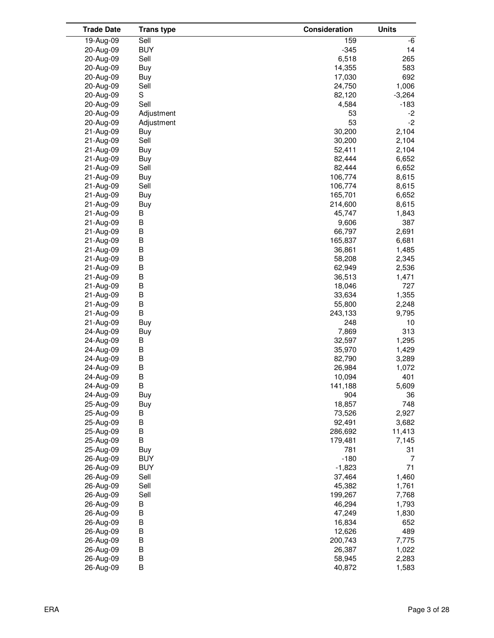| <b>Trade Date</b> | <b>Trans type</b> | Consideration | <b>Units</b> |
|-------------------|-------------------|---------------|--------------|
| 19-Aug-09         | Sell              | 159           | -6           |
| 20-Aug-09         | <b>BUY</b>        | $-345$        | 14           |
| 20-Aug-09         | Sell              | 6,518         | 265          |
| 20-Aug-09         | Buy               | 14,355        | 583          |
| 20-Aug-09         | Buy               | 17,030        | 692          |
| 20-Aug-09         | Sell              | 24,750        | 1,006        |
| 20-Aug-09         | S                 | 82,120        | $-3,264$     |
| 20-Aug-09         | Sell              | 4,584         | $-183$       |
| 20-Aug-09         | Adjustment        | 53            | $-2$         |
| 20-Aug-09         | Adjustment        | 53            | $-2$         |
| 21-Aug-09         | Buy               | 30,200        | 2,104        |
| 21-Aug-09         | Sell              | 30,200        | 2,104        |
| 21-Aug-09         | Buy               | 52,411        | 2,104        |
| 21-Aug-09         | Buy               | 82,444        | 6,652        |
| 21-Aug-09         | Sell              | 82,444        | 6,652        |
| 21-Aug-09         | Buy               | 106,774       | 8,615        |
| 21-Aug-09         | Sell              | 106,774       | 8,615        |
| 21-Aug-09         | Buy               | 165,701       | 6,652        |
| 21-Aug-09         | Buy               | 214,600       | 8,615        |
| 21-Aug-09         | В                 | 45,747        | 1,843        |
| 21-Aug-09         | B                 | 9,606         | 387          |
| 21-Aug-09         | B                 | 66,797        | 2,691        |
| 21-Aug-09         | B                 | 165,837       | 6,681        |
| 21-Aug-09         | B                 | 36,861        | 1,485        |
| 21-Aug-09         | B                 | 58,208        | 2,345        |
| 21-Aug-09         | B                 | 62,949        | 2,536        |
| 21-Aug-09         | B                 | 36,513        | 1,471        |
| 21-Aug-09         | B                 | 18,046        | 727          |
| 21-Aug-09         | B                 | 33,634        | 1,355        |
| 21-Aug-09         | B                 | 55,800        | 2,248        |
| 21-Aug-09         | B                 | 243,133       | 9,795        |
| 21-Aug-09         | Buy               | 248           | 10           |
| 24-Aug-09         | Buy               | 7,869         | 313          |
| 24-Aug-09         | B                 | 32,597        | 1,295        |
| 24-Aug-09         | B                 | 35,970        | 1,429        |
| 24-Aug-09         | B                 | 82,790        | 3,289        |
| 24-Aug-09         | B                 | 26,984        | 1,072        |
| 24-Aug-09         | B                 | 10,094        | 401          |
| 24-Aug-09         | B                 | 141,188       | 5,609        |
| 24-Aug-09         | Buy               | 904           | 36           |
| 25-Aug-09         | Buy               | 18,857        | 748          |
| 25-Aug-09         | B                 | 73,526        | 2,927        |
| 25-Aug-09         | B                 | 92,491        | 3,682        |
| 25-Aug-09         | B                 | 286,692       | 11,413       |
| 25-Aug-09         | B                 | 179,481       | 7,145        |
| 25-Aug-09         | Buy               | 781           | 31           |
| 26-Aug-09         | <b>BUY</b>        | $-180$        | 7            |
| 26-Aug-09         | <b>BUY</b>        | $-1,823$      | 71           |
| 26-Aug-09         | Sell              | 37,464        | 1,460        |
| 26-Aug-09         | Sell              | 45,382        | 1,761        |
| 26-Aug-09         | Sell              | 199,267       | 7,768        |
| 26-Aug-09         | B                 | 46,294        | 1,793        |
| 26-Aug-09         | B                 | 47,249        | 1,830        |
| 26-Aug-09         | B                 | 16,834        | 652          |
| 26-Aug-09         | B                 | 12,626        | 489          |
| 26-Aug-09         | B                 | 200,743       | 7,775        |
| 26-Aug-09         | B                 | 26,387        | 1,022        |
| 26-Aug-09         | B                 | 58,945        | 2,283        |
| 26-Aug-09         | B                 | 40,872        | 1,583        |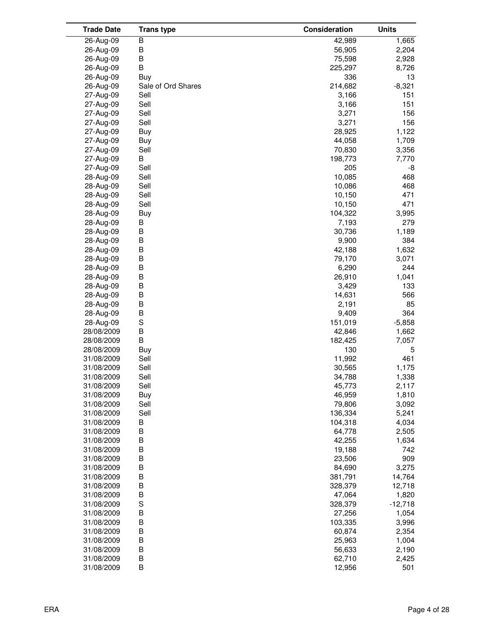| <b>Trade Date</b> | <b>Trans type</b>  | Consideration | <b>Units</b> |
|-------------------|--------------------|---------------|--------------|
| 26-Aug-09         | B                  | 42,989        | 1,665        |
| 26-Aug-09         | B                  | 56,905        | 2,204        |
| 26-Aug-09         | B                  | 75,598        | 2,928        |
| 26-Aug-09         | B                  | 225,297       | 8,726        |
| 26-Aug-09         | Buy                | 336           | 13           |
| 26-Aug-09         | Sale of Ord Shares | 214,682       | $-8,321$     |
| 27-Aug-09         | Sell               | 3,166         | 151          |
| 27-Aug-09         | Sell               | 3,166         | 151          |
| 27-Aug-09         | Sell               | 3,271         | 156          |
| 27-Aug-09         | Sell               | 3,271         | 156          |
| 27-Aug-09         | Buy                | 28,925        | 1,122        |
| 27-Aug-09         |                    | 44,058        | 1,709        |
|                   | Buy                | 70,830        |              |
| 27-Aug-09         | Sell<br>B          | 198,773       | 3,356        |
| 27-Aug-09         |                    |               | 7,770        |
| 27-Aug-09         | Sell               | 205           | -8           |
| 28-Aug-09         | Sell               | 10,085        | 468          |
| 28-Aug-09         | Sell               | 10,086        | 468          |
| 28-Aug-09         | Sell               | 10,150        | 471          |
| 28-Aug-09         | Sell               | 10,150        | 471          |
| 28-Aug-09         | Buy                | 104,322       | 3,995        |
| 28-Aug-09         | В                  | 7,193         | 279          |
| 28-Aug-09         | B                  | 30,736        | 1,189        |
| 28-Aug-09         | B                  | 9,900         | 384          |
| 28-Aug-09         | B                  | 42,188        | 1,632        |
| 28-Aug-09         | B                  | 79,170        | 3,071        |
| 28-Aug-09         | B                  | 6,290         | 244          |
| 28-Aug-09         | В                  | 26,910        | 1,041        |
| 28-Aug-09         | В                  | 3,429         | 133          |
| 28-Aug-09         | B                  | 14,631        | 566          |
| 28-Aug-09         | B                  | 2,191         | 85           |
| 28-Aug-09         | B                  | 9,409         | 364          |
| 28-Aug-09         | S                  | 151,019       | $-5,858$     |
| 28/08/2009        | B                  | 42,846        | 1,662        |
| 28/08/2009        | B                  | 182,425       | 7,057        |
| 28/08/2009        | Buy                | 130           | 5            |
| 31/08/2009        | Sell               | 11,992        | 461          |
| 31/08/2009        | Sell               | 30,565        | 1,175        |
| 31/08/2009        | Sell               | 34,788        | 1,338        |
| 31/08/2009        | Sell               | 45,773        | 2,117        |
| 31/08/2009        | Buy                | 46,959        | 1,810        |
| 31/08/2009        | Sell               | 79,806        | 3,092        |
| 31/08/2009        | Sell               | 136,334       | 5,241        |
| 31/08/2009        | В                  | 104,318       | 4,034        |
| 31/08/2009        | В                  | 64,778        | 2,505        |
| 31/08/2009        | B                  | 42,255        | 1,634        |
| 31/08/2009        | B                  | 19,188        | 742          |
| 31/08/2009        | B                  | 23,506        | 909          |
| 31/08/2009        | B                  | 84,690        | 3,275        |
|                   | B                  |               | 14,764       |
| 31/08/2009        |                    | 381,791       |              |
| 31/08/2009        | B                  | 328,379       | 12,718       |
| 31/08/2009        | B                  | 47,064        | 1,820        |
| 31/08/2009        | S                  | 328,379       | $-12,718$    |
| 31/08/2009        | B                  | 27,256        | 1,054        |
| 31/08/2009        | B                  | 103,335       | 3,996        |
| 31/08/2009        | B                  | 60,874        | 2,354        |
| 31/08/2009        | B                  | 25,963        | 1,004        |
| 31/08/2009        | B                  | 56,633        | 2,190        |
| 31/08/2009        | B                  | 62,710        | 2,425        |
| 31/08/2009        | В                  | 12,956        | 501          |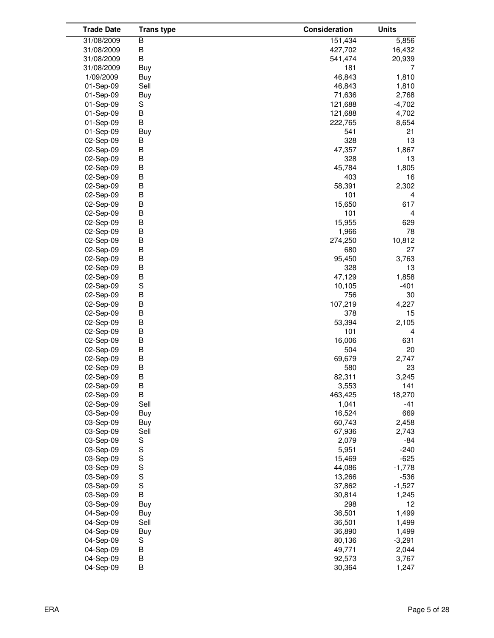| <b>Trade Date</b> | <b>Trans type</b> | Consideration | <b>Units</b> |
|-------------------|-------------------|---------------|--------------|
| 31/08/2009        | В                 | 151,434       | 5,856        |
| 31/08/2009        | В                 | 427,702       | 16,432       |
| 31/08/2009        | В                 | 541,474       | 20,939       |
| 31/08/2009        | Buy               | 181           | 7            |
| 1/09/2009         | Buy               | 46,843        | 1,810        |
| 01-Sep-09         | Sell              | 46,843        | 1,810        |
| 01-Sep-09         | Buy               | 71,636        | 2,768        |
| 01-Sep-09         | S                 | 121,688       | $-4,702$     |
| 01-Sep-09         | B                 | 121,688       | 4,702        |
| 01-Sep-09         | В                 | 222,765       | 8,654        |
| 01-Sep-09         | <b>Buy</b>        | 541           | 21           |
| 02-Sep-09         | B                 | 328           | 13           |
| 02-Sep-09         | B                 | 47,357        | 1,867        |
| 02-Sep-09         | B                 | 328           | 13           |
| 02-Sep-09         | B                 | 45,784        | 1,805        |
| 02-Sep-09         | B                 | 403           | 16           |
| 02-Sep-09         | B                 | 58,391        | 2,302        |
| 02-Sep-09         | B                 | 101           | 4            |
|                   | B                 | 15,650        | 617          |
| 02-Sep-09         |                   |               |              |
| 02-Sep-09         | B                 | 101           | 4            |
| 02-Sep-09         | B                 | 15,955        | 629          |
| 02-Sep-09         | B                 | 1,966         | 78           |
| 02-Sep-09         | B                 | 274,250       | 10,812       |
| 02-Sep-09         | B                 | 680           | 27           |
| 02-Sep-09         | B                 | 95,450        | 3,763        |
| 02-Sep-09         | B                 | 328           | 13           |
| 02-Sep-09         | B                 | 47,129        | 1,858        |
| 02-Sep-09         | S                 | 10,105        | $-401$       |
| 02-Sep-09         | B                 | 756           | 30           |
| 02-Sep-09         | B                 | 107,219       | 4,227        |
| 02-Sep-09         | B                 | 378           | 15           |
| 02-Sep-09         | B                 | 53,394        | 2,105        |
| 02-Sep-09         | B                 | 101           | 4            |
| 02-Sep-09         | B                 | 16,006        | 631          |
| 02-Sep-09         | B                 | 504           | 20           |
| 02-Sep-09         | B                 | 69,679        | 2,747        |
| 02-Sep-09         | B                 | 580           | 23           |
| 02-Sep-09         | B                 | 82,311        | 3,245        |
| 02-Sep-09         | B                 | 3,553         | 141          |
| 02-Sep-09         | B                 | 463,425       | 18,270       |
| 02-Sep-09         | Sell              | 1,041         | $-41$        |
| 03-Sep-09         | Buy               | 16,524        | 669          |
| 03-Sep-09         | Buy               | 60,743        | 2,458        |
| 03-Sep-09         | Sell              | 67,936        | 2,743        |
| 03-Sep-09         | S                 | 2,079         | -84          |
| 03-Sep-09         | S                 | 5,951         | $-240$       |
| 03-Sep-09         | S                 | 15,469        | $-625$       |
| 03-Sep-09         | S                 | 44,086        | $-1,778$     |
| 03-Sep-09         | S                 | 13,266        | $-536$       |
| 03-Sep-09         | S                 | 37,862        | $-1,527$     |
| 03-Sep-09         | B                 | 30,814        | 1,245        |
| 03-Sep-09         | Buy               | 298           | 12           |
| 04-Sep-09         | Buy               | 36,501        | 1,499        |
| 04-Sep-09         | Sell              | 36,501        | 1,499        |
| 04-Sep-09         | Buy               | 36,890        | 1,499        |
| 04-Sep-09         | S                 | 80,136        | $-3,291$     |
| 04-Sep-09         | B                 | 49,771        | 2,044        |
| 04-Sep-09         | B                 | 92,573        | 3,767        |
| 04-Sep-09         | В                 | 30,364        | 1,247        |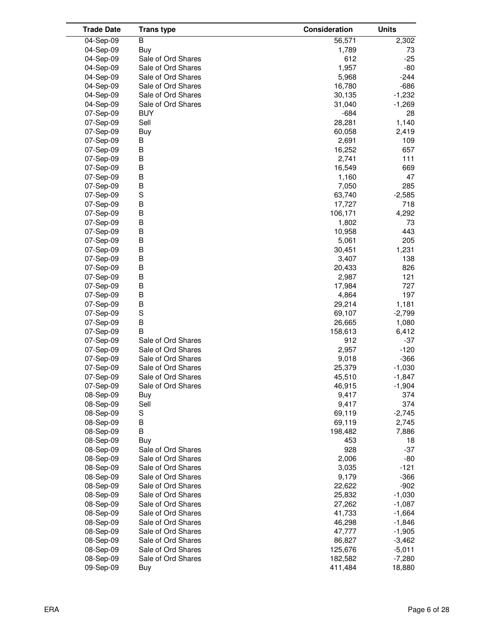| <b>Trade Date</b> | <b>Trans type</b>  | Consideration | <b>Units</b> |
|-------------------|--------------------|---------------|--------------|
| 04-Sep-09         | B                  | 56,571        | 2,302        |
| 04-Sep-09         | Buy                | 1,789         | 73           |
| 04-Sep-09         | Sale of Ord Shares | 612           | $-25$        |
| 04-Sep-09         | Sale of Ord Shares | 1,957         | $-80$        |
| 04-Sep-09         | Sale of Ord Shares | 5,968         | $-244$       |
| 04-Sep-09         | Sale of Ord Shares | 16,780        | $-686$       |
| 04-Sep-09         | Sale of Ord Shares | 30,135        | $-1,232$     |
| 04-Sep-09         | Sale of Ord Shares | 31,040        | $-1,269$     |
| 07-Sep-09         | <b>BUY</b>         | $-684$        | 28           |
| 07-Sep-09         | Sell               | 28,281        | 1,140        |
| 07-Sep-09         | Buy                | 60,058        | 2,419        |
| 07-Sep-09         | В                  | 2,691         | 109          |
| 07-Sep-09         | В                  | 16,252        | 657          |
| 07-Sep-09         | B                  | 2,741         | 111          |
| 07-Sep-09         | В                  | 16,549        | 669          |
| 07-Sep-09         | B                  | 1,160         | 47           |
| 07-Sep-09         | B                  | 7,050         | 285          |
| 07-Sep-09         | S                  | 63,740        | $-2,585$     |
| 07-Sep-09         | B                  | 17,727        | 718          |
| 07-Sep-09         | В                  | 106,171       | 4,292        |
| 07-Sep-09         | B                  | 1,802         | 73           |
| 07-Sep-09         | B                  | 10,958        | 443          |
| 07-Sep-09         | B                  | 5,061         | 205          |
| 07-Sep-09         | B                  | 30,451        | 1,231        |
| 07-Sep-09         | В                  | 3,407         | 138          |
| 07-Sep-09         | B                  | 20,433        | 826          |
| 07-Sep-09         | В                  | 2,987         | 121          |
| 07-Sep-09         | В                  | 17,984        | 727          |
| 07-Sep-09         | B                  | 4,864         | 197          |
| 07-Sep-09         | B                  | 29,214        | 1,181        |
| 07-Sep-09         | $\mathbf S$        | 69,107        | $-2,799$     |
| 07-Sep-09         | B                  | 26,665        | 1,080        |
| 07-Sep-09         | B                  | 158,613       | 6,412        |
| 07-Sep-09         | Sale of Ord Shares | 912           | $-37$        |
| 07-Sep-09         | Sale of Ord Shares | 2,957         | $-120$       |
| 07-Sep-09         | Sale of Ord Shares | 9,018         | $-366$       |
| 07-Sep-09         | Sale of Ord Shares | 25,379        | $-1,030$     |
| 07-Sep-09         | Sale of Ord Shares | 45,510        | $-1,847$     |
| 07-Sep-09         | Sale of Ord Shares | 46,915        | $-1,904$     |
| 08-Sep-09         | Buy                | 9,417         | 374          |
| 08-Sep-09         | Sell               | 9,417         | 374          |
| 08-Sep-09         | S                  | 69,119        | $-2,745$     |
| 08-Sep-09         | В                  | 69,119        | 2,745        |
| 08-Sep-09         | В                  | 198,482       | 7,886        |
| 08-Sep-09         | Buy                | 453           | 18           |
| 08-Sep-09         | Sale of Ord Shares | 928           | $-37$        |
| 08-Sep-09         | Sale of Ord Shares | 2,006         | -80          |
| 08-Sep-09         | Sale of Ord Shares | 3,035         | $-121$       |
| 08-Sep-09         | Sale of Ord Shares | 9,179         | $-366$       |
| 08-Sep-09         | Sale of Ord Shares | 22,622        | $-902$       |
| 08-Sep-09         | Sale of Ord Shares | 25,832        | $-1,030$     |
| 08-Sep-09         | Sale of Ord Shares | 27,262        | $-1,087$     |
| 08-Sep-09         | Sale of Ord Shares | 41,733        | $-1,664$     |
| 08-Sep-09         | Sale of Ord Shares | 46,298        | $-1,846$     |
| 08-Sep-09         | Sale of Ord Shares | 47,777        | $-1,905$     |
| 08-Sep-09         | Sale of Ord Shares | 86,827        | $-3,462$     |
| 08-Sep-09         | Sale of Ord Shares | 125,676       | $-5,011$     |
| 08-Sep-09         | Sale of Ord Shares | 182,582       | $-7,280$     |
| 09-Sep-09         | Buy                | 411,484       | 18,880       |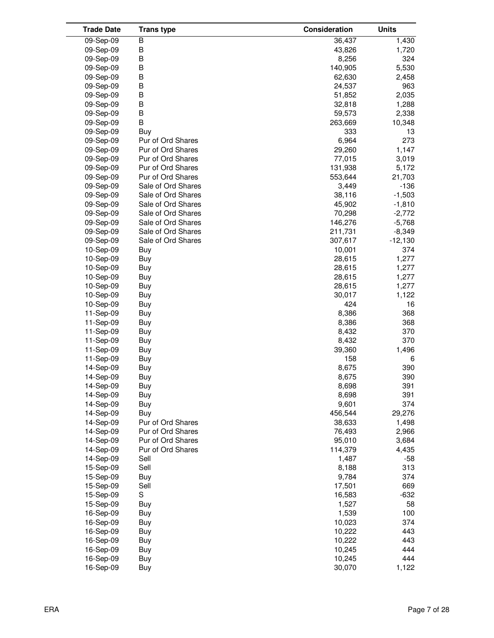| <b>Trade Date</b> | <b>Trans type</b>  | Consideration | <b>Units</b> |
|-------------------|--------------------|---------------|--------------|
| 09-Sep-09         | В                  | 36,437        | 1,430        |
| 09-Sep-09         | B                  | 43,826        | 1,720        |
| 09-Sep-09         | B                  | 8,256         | 324          |
| 09-Sep-09         | B                  | 140,905       | 5,530        |
| 09-Sep-09         | B                  | 62,630        | 2,458        |
| 09-Sep-09         | B                  | 24,537        | 963          |
| 09-Sep-09         | B                  | 51,852        | 2,035        |
| 09-Sep-09         | B                  | 32,818        | 1,288        |
| 09-Sep-09         | B                  | 59,573        | 2,338        |
| 09-Sep-09         | B                  | 263,669       | 10,348       |
| 09-Sep-09         | Buy                | 333           | 13           |
| 09-Sep-09         | Pur of Ord Shares  | 6,964         | 273          |
| 09-Sep-09         | Pur of Ord Shares  | 29,260        | 1,147        |
|                   | Pur of Ord Shares  | 77,015        | 3,019        |
| 09-Sep-09         |                    |               |              |
| 09-Sep-09         | Pur of Ord Shares  | 131,938       | 5,172        |
| 09-Sep-09         | Pur of Ord Shares  | 553,644       | 21,703       |
| 09-Sep-09         | Sale of Ord Shares | 3,449         | $-136$       |
| 09-Sep-09         | Sale of Ord Shares | 38,116        | $-1,503$     |
| 09-Sep-09         | Sale of Ord Shares | 45,902        | $-1,810$     |
| 09-Sep-09         | Sale of Ord Shares | 70,298        | $-2,772$     |
| 09-Sep-09         | Sale of Ord Shares | 146,276       | $-5,768$     |
| 09-Sep-09         | Sale of Ord Shares | 211,731       | $-8,349$     |
| 09-Sep-09         | Sale of Ord Shares | 307,617       | $-12,130$    |
| 10-Sep-09         | Buy                | 10,001        | 374          |
| 10-Sep-09         | Buy                | 28,615        | 1,277        |
| 10-Sep-09         | Buy                | 28,615        | 1,277        |
| 10-Sep-09         | Buy                | 28,615        | 1,277        |
| 10-Sep-09         | Buy                | 28,615        | 1,277        |
| 10-Sep-09         | Buy                | 30,017        | 1,122        |
| 10-Sep-09         | Buy                | 424           | 16           |
| 11-Sep-09         | Buy                | 8,386         | 368          |
| 11-Sep-09         | Buy                | 8,386         | 368          |
| 11-Sep-09         | <b>Buy</b>         | 8,432         | 370          |
| 11-Sep-09         | Buy                | 8,432         | 370          |
| 11-Sep-09         | Buy                | 39,360        | 1,496        |
| 11-Sep-09         | Buy                | 158           | 6            |
| 14-Sep-09         | Buy                | 8,675         | 390          |
| 14-Sep-09         | Buy                | 8,675         | 390          |
| 14-Sep-09         | Buy                | 8,698         | 391          |
| 14-Sep-09         | Buy                | 8,698         | 391          |
| 14-Sep-09         | Buy                | 9,601         | 374          |
| 14-Sep-09         | Buy                | 456,544       | 29,276       |
| 14-Sep-09         | Pur of Ord Shares  | 38,633        | 1,498        |
| 14-Sep-09         | Pur of Ord Shares  | 76,493        | 2,966        |
| 14-Sep-09         | Pur of Ord Shares  | 95,010        | 3,684        |
| 14-Sep-09         | Pur of Ord Shares  | 114,379       | 4,435        |
| 14-Sep-09         | Sell               | 1,487         | $-58$        |
| 15-Sep-09         | Sell               | 8,188         | 313          |
| 15-Sep-09         | Buy                | 9,784         | 374          |
| 15-Sep-09         | Sell               | 17,501        | 669          |
| 15-Sep-09         | S                  | 16,583        | $-632$       |
| 15-Sep-09         | Buy                | 1,527         | 58           |
| 16-Sep-09         | Buy                | 1,539         | 100          |
| 16-Sep-09         | Buy                | 10,023        | 374          |
| 16-Sep-09         | Buy                | 10,222        | 443          |
| 16-Sep-09         | Buy                | 10,222        | 443          |
| 16-Sep-09         | Buy                | 10,245        | 444          |
| 16-Sep-09         | Buy                | 10,245        | 444          |
| 16-Sep-09         | Buy                | 30,070        | 1,122        |
|                   |                    |               |              |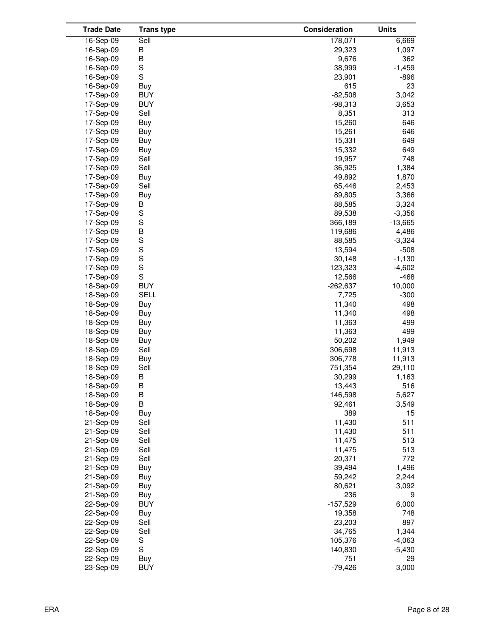| <b>Trade Date</b> | <b>Trans type</b> | Consideration | <b>Units</b> |
|-------------------|-------------------|---------------|--------------|
| 16-Sep-09         | Sell              | 178,071       | 6,669        |
| 16-Sep-09         | В                 | 29,323        | 1,097        |
| 16-Sep-09         | B                 | 9,676         | 362          |
| 16-Sep-09         | S                 | 38,999        | $-1,459$     |
| 16-Sep-09         | $\mathbf S$       | 23,901        | -896         |
| 16-Sep-09         | <b>Buy</b>        | 615           | 23           |
| 17-Sep-09         | <b>BUY</b>        | $-82,508$     | 3,042        |
| 17-Sep-09         | <b>BUY</b>        | $-98,313$     | 3,653        |
| 17-Sep-09         | Sell              | 8,351         | 313          |
| 17-Sep-09         | Buy               | 15,260        | 646          |
| 17-Sep-09         | Buy               | 15,261        | 646          |
| 17-Sep-09         | Buy               | 15,331        | 649          |
| 17-Sep-09         | Buy               | 15,332        | 649          |
| 17-Sep-09         | Sell              | 19,957        | 748          |
| 17-Sep-09         | Sell              | 36,925        | 1,384        |
| 17-Sep-09         | Buy               | 49,892        | 1,870        |
| 17-Sep-09         | Sell              | 65,446        | 2,453        |
| 17-Sep-09         | <b>Buy</b>        | 89,805        | 3,366        |
| 17-Sep-09         | B                 | 88,585        | 3,324        |
| 17-Sep-09         | S                 | 89,538        | $-3,356$     |
| 17-Sep-09         | $\mathbb S$       | 366,189       | $-13,665$    |
| 17-Sep-09         | $\sf B$           | 119,686       | 4,486        |
| 17-Sep-09         | S                 | 88,585        | $-3,324$     |
| 17-Sep-09         | S                 | 13,594        | $-508$       |
| 17-Sep-09         | S                 | 30,148        | $-1,130$     |
| 17-Sep-09         | $\mathbb S$       | 123,323       | $-4,602$     |
| 17-Sep-09         | $\mathbb S$       | 12,566        | $-468$       |
| 18-Sep-09         | <b>BUY</b>        | $-262,637$    | 10,000       |
| 18-Sep-09         | SELL              | 7,725         | $-300$       |
| 18-Sep-09         | Buy               | 11,340        | 498          |
| 18-Sep-09         | <b>Buy</b>        | 11,340        | 498          |
| 18-Sep-09         | Buy               | 11,363        | 499          |
| 18-Sep-09         | Buy               | 11,363        | 499          |
| 18-Sep-09         | Buy               | 50,202        | 1,949        |
| 18-Sep-09         | Sell              | 306,698       | 11,913       |
| 18-Sep-09         | Buy               | 306,778       | 11,913       |
| 18-Sep-09         | Sell              | 751,354       | 29,110       |
| 18-Sep-09         | В                 | 30,299        | 1,163        |
| 18-Sep-09         | B                 | 13,443        | 516          |
| 18-Sep-09         | B                 | 146,598       | 5,627        |
| 18-Sep-09         | B                 | 92,461        | 3,549        |
| 18-Sep-09         | Buy               | 389           | 15           |
| 21-Sep-09         | Sell              | 11,430        | 511          |
| 21-Sep-09         | Sell              | 11,430        | 511          |
| 21-Sep-09         | Sell              | 11,475        | 513          |
| 21-Sep-09         | Sell              | 11,475        | 513          |
| 21-Sep-09         | Sell              | 20,371        | 772          |
| 21-Sep-09         | <b>Buy</b>        | 39,494        | 1,496        |
| 21-Sep-09         | <b>Buy</b>        | 59,242        | 2,244        |
| 21-Sep-09         | <b>Buy</b>        | 80,621        | 3,092        |
| 21-Sep-09         | Buy               | 236           | 9            |
| 22-Sep-09         | <b>BUY</b>        | $-157,529$    | 6,000        |
| 22-Sep-09         | Buy               | 19,358        | 748          |
| 22-Sep-09         | Sell              | 23,203        | 897          |
| 22-Sep-09         | Sell              | 34,765        | 1,344        |
| 22-Sep-09         | S                 | 105,376       | $-4,063$     |
| 22-Sep-09         | $\mathbf S$       | 140,830       | $-5,430$     |
| 22-Sep-09         | Buy               | 751           | 29           |
| 23-Sep-09         | <b>BUY</b>        | $-79,426$     | 3,000        |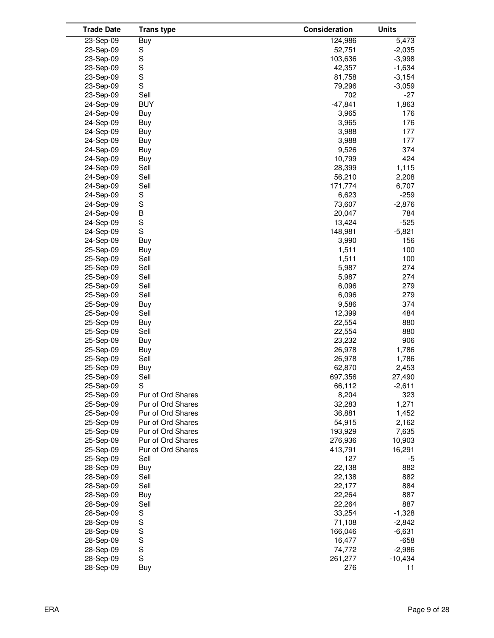| <b>Trade Date</b> | <b>Trans type</b> | Consideration | <b>Units</b> |
|-------------------|-------------------|---------------|--------------|
| 23-Sep-09         | Buy               | 124,986       | 5,473        |
| 23-Sep-09         | S                 | 52,751        | $-2,035$     |
| 23-Sep-09         | S                 | 103,636       | $-3,998$     |
| 23-Sep-09         | $\mathbb S$       | 42,357        | $-1,634$     |
| 23-Sep-09         | S                 | 81,758        | $-3,154$     |
| 23-Sep-09         | $\mathbf S$       | 79,296        | $-3,059$     |
| 23-Sep-09         | Sell              | 702           | $-27$        |
| 24-Sep-09         | <b>BUY</b>        | $-47,841$     | 1,863        |
| 24-Sep-09         | Buy               | 3,965         | 176          |
| 24-Sep-09         | Buy               | 3,965         | 176          |
| 24-Sep-09         | Buy               | 3,988         | 177          |
| 24-Sep-09         | Buy               | 3,988         | 177          |
| 24-Sep-09         | Buy               | 9,526         | 374          |
| 24-Sep-09         | Buy               | 10,799        | 424          |
| 24-Sep-09         | Sell              | 28,399        | 1,115        |
| 24-Sep-09         | Sell              | 56,210        | 2,208        |
| 24-Sep-09         | Sell              | 171,774       | 6,707        |
| 24-Sep-09         | S                 | 6,623         | $-259$       |
|                   | S                 | 73,607        |              |
| 24-Sep-09         |                   |               | $-2,876$     |
| 24-Sep-09         | B<br>S            | 20,047        | 784          |
| 24-Sep-09         | S                 | 13,424        | $-525$       |
| 24-Sep-09         |                   | 148,981       | $-5,821$     |
| 24-Sep-09         | <b>Buy</b>        | 3,990         | 156          |
| 25-Sep-09         | Buy               | 1,511         | 100          |
| 25-Sep-09         | Sell              | 1,511         | 100          |
| 25-Sep-09         | Sell              | 5,987         | 274          |
| 25-Sep-09         | Sell              | 5,987         | 274          |
| 25-Sep-09         | Sell              | 6,096         | 279          |
| 25-Sep-09         | Sell              | 6,096         | 279          |
| 25-Sep-09         | Buy               | 9,586         | 374          |
| 25-Sep-09         | Sell              | 12,399        | 484          |
| 25-Sep-09         | Buy               | 22,554        | 880          |
| 25-Sep-09         | Sell              | 22,554        | 880          |
| 25-Sep-09         | Buy               | 23,232        | 906          |
| 25-Sep-09         | Buy               | 26,978        | 1,786        |
| 25-Sep-09         | Sell              | 26,978        | 1,786        |
| 25-Sep-09         | Buy               | 62,870        | 2,453        |
| 25-Sep-09         | Sell              | 697,356       | 27,490       |
| 25-Sep-09         | S                 | 66,112        | $-2,611$     |
| 25-Sep-09         | Pur of Ord Shares | 8,204         | 323          |
| 25-Sep-09         | Pur of Ord Shares | 32,283        | 1,271        |
| 25-Sep-09         | Pur of Ord Shares | 36,881        | 1,452        |
| 25-Sep-09         | Pur of Ord Shares | 54,915        | 2,162        |
| 25-Sep-09         | Pur of Ord Shares | 193,929       | 7,635        |
| 25-Sep-09         | Pur of Ord Shares | 276,936       | 10,903       |
| 25-Sep-09         | Pur of Ord Shares | 413,791       | 16,291       |
| 25-Sep-09         | Sell              | 127           | -5           |
| 28-Sep-09         | Buy               | 22,138        | 882          |
| 28-Sep-09         | Sell              | 22,138        | 882          |
| 28-Sep-09         | Sell              | 22,177        | 884          |
| 28-Sep-09         | Buy               | 22,264        | 887          |
| 28-Sep-09         | Sell              | 22,264        | 887          |
| 28-Sep-09         | S                 | 33,254        | $-1,328$     |
| 28-Sep-09         | S                 | 71,108        | $-2,842$     |
| 28-Sep-09         | $\mathbf S$       | 166,046       | $-6,631$     |
| 28-Sep-09         | $\mathbf S$       | 16,477        | $-658$       |
| 28-Sep-09         | S                 | 74,772        | $-2,986$     |
| 28-Sep-09         | $\mathbf S$       | 261,277       | $-10,434$    |
| 28-Sep-09         | Buy               | 276           | 11           |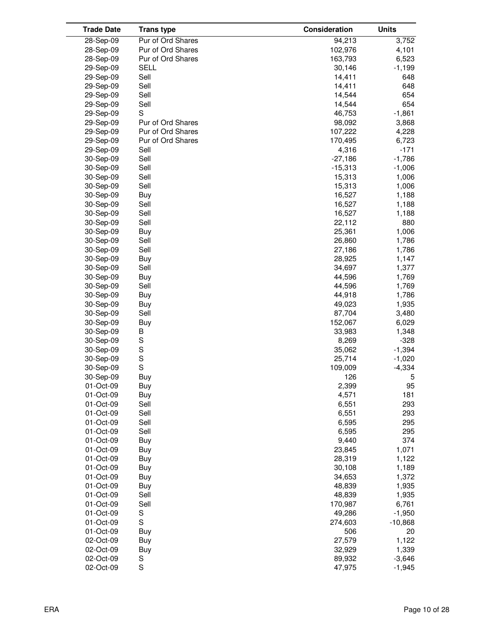| <b>Trade Date</b>      | <b>Trans type</b> | Consideration  | <b>Units</b>   |
|------------------------|-------------------|----------------|----------------|
| 28-Sep-09              | Pur of Ord Shares | 94,213         | 3,752          |
| 28-Sep-09              | Pur of Ord Shares | 102,976        | 4,101          |
| 28-Sep-09              | Pur of Ord Shares | 163,793        | 6,523          |
| 29-Sep-09              | <b>SELL</b>       | 30,146         | $-1,199$       |
| 29-Sep-09              | Sell              | 14,411         | 648            |
| 29-Sep-09              | Sell              | 14,411         | 648            |
| 29-Sep-09              | Sell              | 14,544         | 654            |
| 29-Sep-09              | Sell              | 14,544         | 654            |
| 29-Sep-09              | S                 | 46,753         | $-1,861$       |
| 29-Sep-09              | Pur of Ord Shares | 98,092         | 3,868          |
| 29-Sep-09              | Pur of Ord Shares | 107,222        | 4,228          |
| 29-Sep-09              | Pur of Ord Shares | 170,495        | 6,723          |
| 29-Sep-09              | Sell              | 4,316          | $-171$         |
| 30-Sep-09              | Sell              | $-27,186$      | $-1,786$       |
| 30-Sep-09              | Sell              | $-15,313$      | $-1,006$       |
| 30-Sep-09              | Sell              | 15,313         | 1,006          |
| 30-Sep-09              | Sell              | 15,313         | 1,006          |
| 30-Sep-09              | Buy               | 16,527         | 1,188          |
| 30-Sep-09              | Sell              | 16,527         | 1,188          |
| 30-Sep-09              | Sell              | 16,527         | 1,188          |
| 30-Sep-09              | Sell              | 22,112         | 880            |
| 30-Sep-09              |                   | 25,361         |                |
|                        | Buy<br>Sell       | 26,860         | 1,006<br>1,786 |
| 30-Sep-09<br>30-Sep-09 | Sell              | 27,186         | 1,786          |
|                        |                   |                |                |
| 30-Sep-09              | Buy<br>Sell       | 28,925         | 1,147          |
| 30-Sep-09              |                   | 34,697         | 1,377          |
| 30-Sep-09              | Buy               | 44,596         | 1,769          |
| 30-Sep-09              | Sell              | 44,596         | 1,769          |
| 30-Sep-09              | Buy               | 44,918         | 1,786          |
| 30-Sep-09              | Buy               | 49,023         | 1,935          |
| 30-Sep-09              | Sell              | 87,704         | 3,480          |
| 30-Sep-09              | Buy               | 152,067        | 6,029          |
| 30-Sep-09              | B                 | 33,983         | 1,348          |
| 30-Sep-09              | S<br>$\mathbb S$  | 8,269          | $-328$         |
| 30-Sep-09              | S                 | 35,062         | $-1,394$       |
| 30-Sep-09              | S                 | 25,714         | $-1,020$       |
| 30-Sep-09              |                   | 109,009        | $-4,334$       |
| 30-Sep-09              | Buy               | 126            | 5              |
| 01-Oct-09              | Buy               | 2,399          | 95             |
| 01-Oct-09              | Buy               | 4,571          | 181            |
| 01-Oct-09              | Sell              | 6,551          | 293            |
| 01-Oct-09              | Sell              | 6,551          | 293            |
| 01-Oct-09              | Sell              | 6,595<br>6,595 | 295            |
| 01-Oct-09              | Sell              |                | 295            |
| 01-Oct-09              | Buy               | 9,440          | 374            |
| 01-Oct-09              | Buy               | 23,845         | 1,071          |
| 01-Oct-09              | Buy               | 28,319         | 1,122          |
| 01-Oct-09              | Buy               | 30,108         | 1,189          |
| 01-Oct-09              | Buy               | 34,653         | 1,372          |
| 01-Oct-09              | Buy               | 48,839         | 1,935          |
| 01-Oct-09              | Sell              | 48,839         | 1,935          |
| 01-Oct-09              | Sell              | 170,987        | 6,761          |
| 01-Oct-09              | S                 | 49,286         | $-1,950$       |
| 01-Oct-09              | $\mathsf S$       | 274,603        | $-10,868$      |
| 01-Oct-09              | Buy               | 506            | 20             |
| 02-Oct-09              | Buy               | 27,579         | 1,122          |
| 02-Oct-09              | Buy               | 32,929         | 1,339          |
| 02-Oct-09              | S                 | 89,932         | $-3,646$       |
| 02-Oct-09              | S                 | 47,975         | $-1,945$       |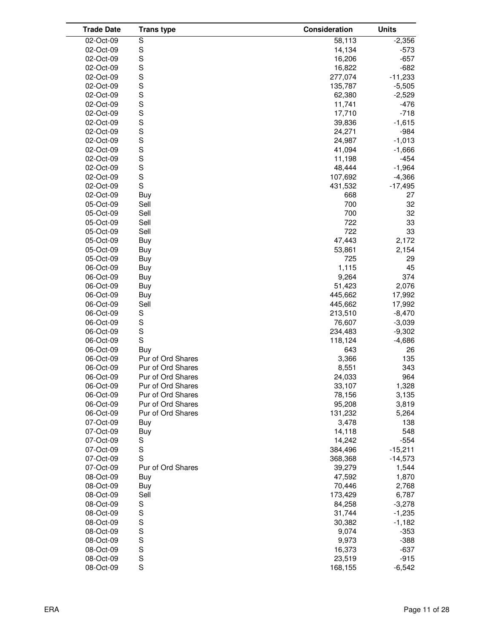| <b>Trade Date</b> | <b>Trans type</b> | Consideration | <b>Units</b> |
|-------------------|-------------------|---------------|--------------|
| 02-Oct-09         | S                 | 58,113        | $-2,356$     |
| 02-Oct-09         | S                 | 14,134        | $-573$       |
| 02-Oct-09         | S                 | 16,206        | $-657$       |
| 02-Oct-09         | S                 | 16,822        | $-682$       |
| 02-Oct-09         | S                 | 277,074       | $-11,233$    |
| 02-Oct-09         | S                 | 135,787       | $-5,505$     |
| 02-Oct-09         | S                 | 62,380        | $-2,529$     |
| 02-Oct-09         | S                 | 11,741        | $-476$       |
| 02-Oct-09         | S                 | 17,710        | $-718$       |
| 02-Oct-09         | S                 | 39,836        | $-1,615$     |
| 02-Oct-09         | S                 | 24,271        | $-984$       |
| 02-Oct-09         | S                 | 24,987        | $-1,013$     |
| 02-Oct-09         | S                 | 41,094        | $-1,666$     |
| 02-Oct-09         | S                 | 11,198        | $-454$       |
| 02-Oct-09         | S                 | 48,444        | $-1,964$     |
| 02-Oct-09         | S                 | 107,692       | $-4,366$     |
| 02-Oct-09         | S                 | 431,532       | $-17,495$    |
| 02-Oct-09         | Buy               | 668           | 27           |
| 05-Oct-09         | Sell              | 700           | 32           |
| 05-Oct-09         | Sell              | 700           | 32           |
| 05-Oct-09         | Sell              | 722           | 33           |
| 05-Oct-09         | Sell              | 722           | 33           |
| 05-Oct-09         | Buy               | 47,443        | 2,172        |
| 05-Oct-09         | Buy               | 53,861        | 2,154        |
| 05-Oct-09         | Buy               | 725           | 29           |
| 06-Oct-09         | Buy               | 1,115         | 45           |
| 06-Oct-09         | Buy               | 9,264         | 374          |
| 06-Oct-09         | Buy               | 51,423        | 2,076        |
| 06-Oct-09         | Buy               | 445,662       | 17,992       |
| 06-Oct-09         | Sell              | 445,662       | 17,992       |
| 06-Oct-09         | S                 | 213,510       | $-8,470$     |
| 06-Oct-09         | $\mathbf S$       | 76,607        | $-3,039$     |
| 06-Oct-09         | S                 | 234,483       | $-9,302$     |
| 06-Oct-09         | S                 | 118,124       | $-4,686$     |
| 06-Oct-09         | Buy               | 643           | 26           |
| 06-Oct-09         | Pur of Ord Shares | 3,366         | 135          |
| 06-Oct-09         | Pur of Ord Shares | 8,551         | 343          |
| 06-Oct-09         | Pur of Ord Shares | 24,033        | 964          |
| 06-Oct-09         | Pur of Ord Shares | 33,107        | 1,328        |
| 06-Oct-09         | Pur of Ord Shares | 78,156        | 3,135        |
| 06-Oct-09         | Pur of Ord Shares | 95,208        | 3,819        |
| 06-Oct-09         | Pur of Ord Shares | 131,232       | 5,264        |
| 07-Oct-09         | Buy               | 3,478         | 138          |
| 07-Oct-09         | Buy               | 14,118        | 548          |
| 07-Oct-09         | S                 | 14,242        | $-554$       |
| 07-Oct-09         | $\mathbf S$       | 384,496       | $-15,211$    |
| 07-Oct-09         | S                 | 368,368       | $-14,573$    |
| 07-Oct-09         | Pur of Ord Shares | 39,279        | 1,544        |
| 08-Oct-09         | Buy               | 47,592        | 1,870        |
| 08-Oct-09         | Buy               | 70,446        | 2,768        |
| 08-Oct-09         | Sell              | 173,429       | 6,787        |
| 08-Oct-09         | S                 | 84,258        | $-3,278$     |
| 08-Oct-09         | $\mathbb S$       | 31,744        | $-1,235$     |
| 08-Oct-09         | S                 | 30,382        | $-1,182$     |
| 08-Oct-09         | S                 | 9,074         | $-353$       |
| 08-Oct-09         | S                 | 9,973         | $-388$       |
| 08-Oct-09         | S                 | 16,373        | $-637$       |
| 08-Oct-09         | $\mathbf S$       | 23,519        | $-915$       |
| 08-Oct-09         | $\mathsf S$       | 168,155       | $-6,542$     |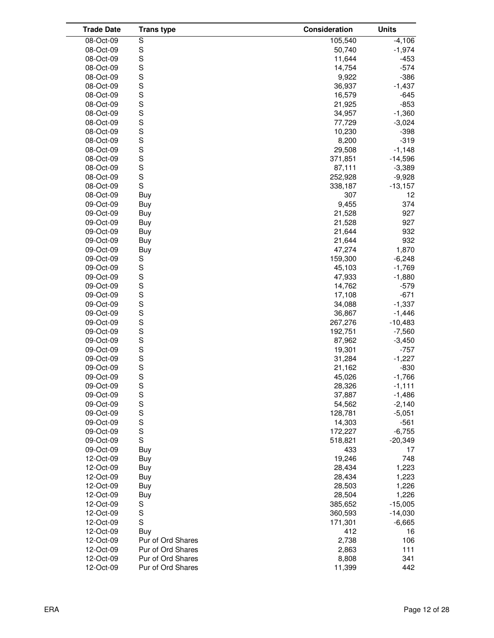| <b>Trade Date</b>      | <b>Trans type</b> | Consideration    | <b>Units</b>   |
|------------------------|-------------------|------------------|----------------|
| 08-Oct-09              | S                 | 105,540          | $-4,106$       |
| 08-Oct-09              | S                 | 50,740           | $-1,974$       |
| 08-Oct-09              | S                 | 11,644           | $-453$         |
| 08-Oct-09              | S                 | 14,754           | $-574$         |
| 08-Oct-09              | S                 | 9,922            | $-386$         |
| 08-Oct-09              | S                 | 36,937           | $-1,437$       |
| 08-Oct-09              | S                 | 16,579           | $-645$         |
| 08-Oct-09              | S                 | 21,925           | $-853$         |
| 08-Oct-09              | S                 | 34,957           | $-1,360$       |
| 08-Oct-09              | S                 | 77,729           | $-3,024$       |
| 08-Oct-09              | S                 | 10,230           | $-398$         |
| 08-Oct-09              | S                 | 8,200            | $-319$         |
| 08-Oct-09              | S                 | 29,508           | $-1,148$       |
| 08-Oct-09              | S                 | 371,851          | $-14,596$      |
| 08-Oct-09              | S                 | 87,111           | $-3,389$       |
| 08-Oct-09              | S                 | 252,928          | $-9,928$       |
| 08-Oct-09              | $\mathbf S$       | 338,187          | $-13,157$      |
| 08-Oct-09              | Buy               | 307              | 12             |
| 09-Oct-09              | Buy               | 9,455            | 374            |
| 09-Oct-09              | Buy               | 21,528           | 927            |
| 09-Oct-09              | Buy               | 21,528           | 927            |
| 09-Oct-09              | Buy               | 21,644           | 932            |
| 09-Oct-09              | Buy               | 21,644           | 932            |
| 09-Oct-09              | Buy               | 47,274           | 1,870          |
| 09-Oct-09              | S                 | 159,300          | $-6,248$       |
| 09-Oct-09              | $\mathbb S$       | 45,103           | $-1,769$       |
| 09-Oct-09              | $\mathbb S$       | 47,933           | $-1,880$       |
| 09-Oct-09              | S                 | 14,762           | $-579$         |
| 09-Oct-09              | S                 | 17,108           | $-671$         |
| 09-Oct-09              | S                 | 34,088           | $-1,337$       |
| 09-Oct-09              | S                 | 36,867           | $-1,446$       |
| 09-Oct-09              | S                 | 267,276          | $-10,483$      |
| 09-Oct-09              | S                 | 192,751          | $-7,560$       |
| 09-Oct-09              | S                 | 87,962           | $-3,450$       |
| 09-Oct-09              | S                 | 19,301           | $-757$         |
| 09-Oct-09              | S                 | 31,284           | $-1,227$       |
| 09-Oct-09              | S                 | 21,162           | -830           |
| 09-Oct-09              | S                 | 45,026           | $-1,766$       |
| 09-Oct-09              | $\mathbb S$       | 28,326           | $-1,111$       |
| 09-Oct-09              | S                 | 37,887           | $-1,486$       |
| 09-Oct-09              | S                 | 54,562           | $-2,140$       |
| 09-Oct-09              | S                 | 128,781          | $-5,051$       |
| 09-Oct-09              | S                 | 14,303           | $-561$         |
| 09-Oct-09              | S                 | 172,227          | $-6,755$       |
| 09-Oct-09              | $\mathsf S$       | 518,821          | $-20,349$      |
| 09-Oct-09              | Buy               | 433              | 17             |
| 12-Oct-09              | Buy               | 19,246           | 748            |
| 12-Oct-09<br>12-Oct-09 | Buy               | 28,434<br>28,434 | 1,223<br>1,223 |
| 12-Oct-09              | Buy<br>Buy        | 28,503           | 1,226          |
| 12-Oct-09              | Buy               | 28,504           | 1,226          |
| 12-Oct-09              | S                 | 385,652          | $-15,005$      |
| 12-Oct-09              | $\mathbf S$       | 360,593          | $-14,030$      |
| 12-Oct-09              | S                 | 171,301          | $-6,665$       |
| 12-Oct-09              | <b>Buy</b>        | 412              | 16             |
| 12-Oct-09              | Pur of Ord Shares | 2,738            | 106            |
| 12-Oct-09              | Pur of Ord Shares | 2,863            | 111            |
| 12-Oct-09              | Pur of Ord Shares | 8,808            | 341            |
| 12-Oct-09              | Pur of Ord Shares | 11,399           | 442            |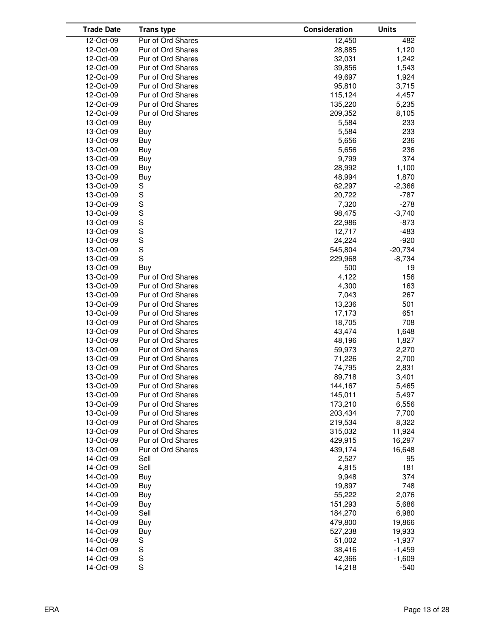| <b>Trade Date</b> | <b>Trans type</b> | Consideration | <b>Units</b> |
|-------------------|-------------------|---------------|--------------|
| 12-Oct-09         | Pur of Ord Shares | 12,450        | 482          |
| 12-Oct-09         | Pur of Ord Shares | 28,885        | 1,120        |
| 12-Oct-09         | Pur of Ord Shares | 32,031        | 1,242        |
| 12-Oct-09         | Pur of Ord Shares | 39,856        | 1,543        |
| 12-Oct-09         | Pur of Ord Shares | 49,697        | 1,924        |
| 12-Oct-09         | Pur of Ord Shares | 95,810        | 3,715        |
| 12-Oct-09         | Pur of Ord Shares | 115,124       | 4,457        |
| 12-Oct-09         | Pur of Ord Shares | 135,220       | 5,235        |
| 12-Oct-09         | Pur of Ord Shares | 209,352       | 8,105        |
| 13-Oct-09         | Buy               | 5,584         | 233          |
| 13-Oct-09         | Buy               | 5,584         | 233          |
| 13-Oct-09         |                   |               | 236          |
|                   | Buy               | 5,656         |              |
| 13-Oct-09         | Buy               | 5,656         | 236          |
| 13-Oct-09         | Buy               | 9,799         | 374          |
| 13-Oct-09         | Buy               | 28,992        | 1,100        |
| 13-Oct-09         | Buy               | 48,994        | 1,870        |
| 13-Oct-09         | S                 | 62,297        | $-2,366$     |
| 13-Oct-09         | S                 | 20,722        | $-787$       |
| 13-Oct-09         | S                 | 7,320         | $-278$       |
| 13-Oct-09         | S                 | 98,475        | $-3,740$     |
| 13-Oct-09         | S                 | 22,986        | $-873$       |
| 13-Oct-09         | S                 | 12,717        | $-483$       |
| 13-Oct-09         | S                 | 24,224        | $-920$       |
| 13-Oct-09         | S                 | 545,804       | $-20,734$    |
| 13-Oct-09         | S                 | 229,968       | $-8,734$     |
| 13-Oct-09         | Buy               | 500           | 19           |
| 13-Oct-09         | Pur of Ord Shares | 4,122         | 156          |
| 13-Oct-09         | Pur of Ord Shares | 4,300         | 163          |
| 13-Oct-09         | Pur of Ord Shares | 7,043         | 267          |
| 13-Oct-09         | Pur of Ord Shares | 13,236        | 501          |
| 13-Oct-09         | Pur of Ord Shares | 17,173        | 651          |
| 13-Oct-09         | Pur of Ord Shares | 18,705        | 708          |
| 13-Oct-09         | Pur of Ord Shares | 43,474        | 1,648        |
| 13-Oct-09         | Pur of Ord Shares | 48,196        | 1,827        |
| 13-Oct-09         | Pur of Ord Shares | 59,973        | 2,270        |
| 13-Oct-09         | Pur of Ord Shares | 71,226        | 2,700        |
| 13-Oct-09         | Pur of Ord Shares | 74,795        | 2,831        |
| 13-Oct-09         | Pur of Ord Shares | 89,718        | 3,401        |
| 13-Oct-09         | Pur of Ord Shares | 144,167       | 5,465        |
| 13-Oct-09         | Pur of Ord Shares | 145,011       | 5,497        |
| 13-Oct-09         | Pur of Ord Shares | 173,210       | 6,556        |
| 13-Oct-09         | Pur of Ord Shares | 203,434       | 7,700        |
| 13-Oct-09         | Pur of Ord Shares | 219,534       | 8,322        |
| 13-Oct-09         | Pur of Ord Shares | 315,032       | 11,924       |
| 13-Oct-09         | Pur of Ord Shares | 429,915       | 16,297       |
| 13-Oct-09         | Pur of Ord Shares | 439,174       | 16,648       |
| 14-Oct-09         | Sell              | 2,527         | 95           |
| 14-Oct-09         | Sell              | 4,815         | 181          |
|                   |                   | 9,948         | 374          |
| 14-Oct-09         | Buy               |               |              |
| 14-Oct-09         | Buy               | 19,897        | 748          |
| 14-Oct-09         | Buy               | 55,222        | 2,076        |
| 14-Oct-09         | Buy               | 151,293       | 5,686        |
| 14-Oct-09         | Sell              | 184,270       | 6,980        |
| 14-Oct-09         | Buy               | 479,800       | 19,866       |
| 14-Oct-09         | Buy               | 527,238       | 19,933       |
| 14-Oct-09         | S                 | 51,002        | $-1,937$     |
| 14-Oct-09         | S                 | 38,416        | $-1,459$     |
| 14-Oct-09         | S                 | 42,366        | $-1,609$     |
| 14-Oct-09         | S                 | 14,218        | $-540$       |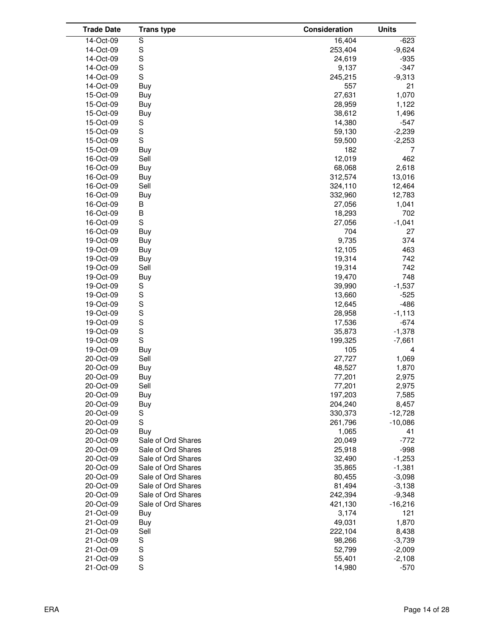| <b>Trade Date</b>      | <b>Trans type</b>  | Consideration   | <b>Units</b>      |
|------------------------|--------------------|-----------------|-------------------|
| 14-Oct-09              | S                  | 16,404          | $-623$            |
| 14-Oct-09              | S                  | 253,404         | $-9,624$          |
| 14-Oct-09              | S                  | 24,619          | $-935$            |
| 14-Oct-09              | S                  | 9,137           | $-347$            |
| 14-Oct-09              | S                  | 245,215         | $-9,313$          |
| 14-Oct-09              | Buy                | 557             | 21                |
| 15-Oct-09              | Buy                | 27,631          | 1,070             |
| 15-Oct-09              | Buy                | 28,959          | 1,122             |
| 15-Oct-09              | Buy                | 38,612          | 1,496             |
| 15-Oct-09              | S                  | 14,380          | $-547$            |
| 15-Oct-09              | S                  | 59,130          | $-2,239$          |
| 15-Oct-09              | S                  | 59,500          | $-2,253$          |
| 15-Oct-09              | Buy                | 182             | 7                 |
| 16-Oct-09              | Sell               | 12,019          | 462               |
| 16-Oct-09              | Buy                | 68,068          | 2,618             |
| 16-Oct-09              | Buy                | 312,574         | 13,016            |
| 16-Oct-09              | Sell               | 324,110         | 12,464            |
| 16-Oct-09              | Buy                | 332,960         | 12,783            |
| 16-Oct-09              | В                  | 27,056          | 1,041             |
| 16-Oct-09              | B                  | 18,293          | 702               |
| 16-Oct-09              | $\mathbf S$        | 27,056          | $-1,041$          |
| 16-Oct-09              | Buy                | 704             | 27                |
| 19-Oct-09              | Buy                | 9,735           | 374               |
| 19-Oct-09              | Buy                | 12,105          | 463               |
| 19-Oct-09              | Buy                | 19,314          | 742               |
| 19-Oct-09              | Sell               | 19,314          | 742               |
| 19-Oct-09              | Buy                | 19,470          | 748               |
| 19-Oct-09              | S                  | 39,990          | $-1,537$          |
| 19-Oct-09              | S                  | 13,660          | $-525$            |
| 19-Oct-09              | S                  | 12,645          | $-486$            |
| 19-Oct-09              | S                  | 28,958          | $-1,113$          |
| 19-Oct-09              | S                  | 17,536          | $-674$            |
| 19-Oct-09              | S                  | 35,873          | $-1,378$          |
| 19-Oct-09              | $\mathbf S$        | 199,325         | $-7,661$          |
| 19-Oct-09              | Buy                | 105             | 4                 |
| 20-Oct-09              | Sell               | 27,727          | 1,069             |
| 20-Oct-09              | Buy                | 48,527          | 1,870             |
| 20-Oct-09              | Buy                | 77,201          | 2,975             |
| 20-Oct-09              | Sell               | 77,201          | 2,975             |
| 20-Oct-09              | Buy                | 197,203         | 7,585             |
| 20-Oct-09              | Buy                | 204,240         | 8,457             |
| 20-Oct-09              | S                  | 330,373         | $-12,728$         |
| 20-Oct-09              | $\mathbf S$        | 261,796         | $-10,086$         |
| 20-Oct-09              | Buy                | 1,065           | 41                |
| 20-Oct-09              | Sale of Ord Shares | 20,049          | $-772$            |
| 20-Oct-09              | Sale of Ord Shares | 25,918          | $-998$            |
| 20-Oct-09              | Sale of Ord Shares | 32,490          | $-1,253$          |
| 20-Oct-09              | Sale of Ord Shares | 35,865          | $-1,381$          |
| 20-Oct-09              | Sale of Ord Shares | 80,455          | $-3,098$          |
| 20-Oct-09              | Sale of Ord Shares | 81,494          | $-3,138$          |
| 20-Oct-09              | Sale of Ord Shares | 242,394         | $-9,348$          |
| 20-Oct-09              | Sale of Ord Shares | 421,130         | $-16,216$         |
| 21-Oct-09              | Buy                | 3,174<br>49,031 | 121               |
| 21-Oct-09<br>21-Oct-09 | Buy<br>Sell        | 222,104         | 1,870             |
| 21-Oct-09              | S                  | 98,266          | 8,438<br>$-3,739$ |
| 21-Oct-09              | S                  | 52,799          | $-2,009$          |
| 21-Oct-09              | $\mathbb S$        | 55,401          | $-2,108$          |
| 21-Oct-09              | S                  | 14,980          | $-570$            |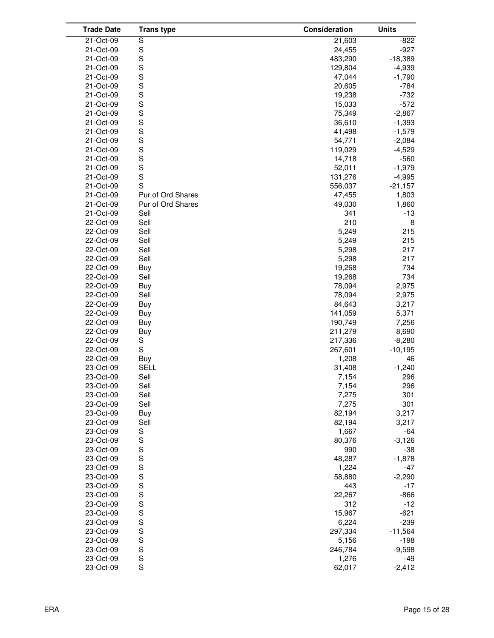| <b>Trade Date</b> | <b>Trans type</b> | Consideration | <b>Units</b> |
|-------------------|-------------------|---------------|--------------|
| 21-Oct-09         | S                 | 21,603        | $-822$       |
| 21-Oct-09         | S                 | 24,455        | $-927$       |
| 21-Oct-09         | S                 | 483,290       | $-18,389$    |
| 21-Oct-09         | S                 | 129,804       | $-4,939$     |
| 21-Oct-09         | S                 | 47,044        | $-1,790$     |
| 21-Oct-09         | S                 | 20,605        | $-784$       |
| 21-Oct-09         | S                 | 19,238        | $-732$       |
| 21-Oct-09         | S                 | 15,033        | $-572$       |
| 21-Oct-09         | S                 | 75,349        | $-2,867$     |
| 21-Oct-09         | S                 | 36,610        | $-1,393$     |
| 21-Oct-09         | S                 | 41,498        | $-1,579$     |
| 21-Oct-09         | S                 | 54,771        | $-2,084$     |
| 21-Oct-09         | S                 | 119,029       | $-4,529$     |
| 21-Oct-09         | S                 | 14,718        | $-560$       |
| 21-Oct-09         | S                 | 52,011        | $-1,979$     |
| 21-Oct-09         | S                 | 131,276       | $-4,995$     |
| 21-Oct-09         | S                 | 556,037       | $-21,157$    |
| 21-Oct-09         | Pur of Ord Shares | 47,455        | 1,803        |
| 21-Oct-09         | Pur of Ord Shares | 49,030        | 1,860        |
| 21-Oct-09         | Sell              | 341           | -13          |
| 22-Oct-09         | Sell              | 210           | 8            |
| 22-Oct-09         | Sell              | 5,249         | 215          |
| 22-Oct-09         | Sell              | 5,249         | 215          |
| 22-Oct-09         | Sell              | 5,298         | 217          |
| 22-Oct-09         | Sell              | 5,298         | 217          |
| 22-Oct-09         | Buy               | 19,268        | 734          |
| 22-Oct-09         | Sell              | 19,268        | 734          |
| 22-Oct-09         | Buy               | 78,094        | 2,975        |
| 22-Oct-09         | Sell              | 78,094        | 2,975        |
| 22-Oct-09         | Buy               | 84,643        | 3,217        |
| 22-Oct-09         | Buy               | 141,059       | 5,371        |
| 22-Oct-09         | Buy               | 190,749       | 7,256        |
| 22-Oct-09         | Buy               | 211,279       | 8,690        |
| 22-Oct-09         | S                 | 217,336       | $-8,280$     |
| 22-Oct-09         | S                 | 267,601       | $-10,195$    |
| 22-Oct-09         | Buy               | 1,208         | 46           |
| 23-Oct-09         | <b>SELL</b>       | 31,408        | $-1,240$     |
| 23-Oct-09         | Sell              | 7,154         | 296          |
| 23-Oct-09         | Sell              | 7,154         | 296          |
| 23-Oct-09         | Sell              | 7,275         | 301          |
| 23-Oct-09         | Sell              | 7,275         | 301          |
| 23-Oct-09         | Buy               | 82,194        | 3,217        |
| 23-Oct-09         | Sell              | 82,194        | 3,217        |
| 23-Oct-09         | S                 | 1,667         | $-64$        |
| 23-Oct-09         | S                 | 80,376        | $-3,126$     |
| 23-Oct-09         | S                 | 990           | -38          |
| 23-Oct-09         | S                 | 48,287        | $-1,878$     |
| 23-Oct-09         | S                 | 1,224         | $-47$        |
| 23-Oct-09         | $\mathsf{s}$      | 58,880        | $-2,290$     |
| 23-Oct-09         | S                 | 443           | $-17$        |
| 23-Oct-09         |                   | 22,267        | $-866$       |
| 23-Oct-09         | S<br>S            | 312           | $-12$        |
| 23-Oct-09         |                   | 15,967        | $-621$       |
| 23-Oct-09         | S<br>S<br>S<br>S  | 6,224         | $-239$       |
| 23-Oct-09         |                   | 297,334       | $-11,564$    |
| 23-Oct-09         |                   | 5,156         | $-198$       |
| 23-Oct-09         | $\mathsf{s}$      | 246,784       | $-9,598$     |
| 23-Oct-09         | S                 | 1,276         | $-49$        |
| 23-Oct-09         | S                 | 62,017        | $-2,412$     |
|                   |                   |               |              |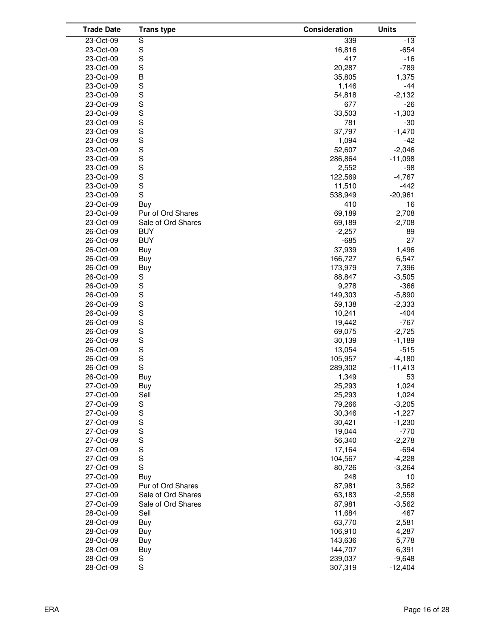| <b>Trade Date</b> | <b>Trans type</b>  | Consideration | <b>Units</b> |
|-------------------|--------------------|---------------|--------------|
| 23-Oct-09         | S                  | 339           | $-13$        |
| 23-Oct-09         | S                  | 16,816        | $-654$       |
| 23-Oct-09         | S                  | 417           | $-16$        |
| 23-Oct-09         | S                  | 20,287        | $-789$       |
| 23-Oct-09         | B                  | 35,805        | 1,375        |
| 23-Oct-09         | S                  | 1,146         | $-44$        |
| 23-Oct-09         | $\mathbf S$        | 54,818        | $-2,132$     |
| 23-Oct-09         | S                  | 677           | $-26$        |
| 23-Oct-09         | S                  | 33,503        | $-1,303$     |
| 23-Oct-09         | S                  | 781           | $-30$        |
| 23-Oct-09         | S                  | 37,797        | $-1,470$     |
| 23-Oct-09         | S                  | 1,094         | $-42$        |
| 23-Oct-09         | S                  | 52,607        | $-2,046$     |
| 23-Oct-09         | S                  | 286,864       | $-11,098$    |
| 23-Oct-09         | S                  | 2,552         | -98          |
| 23-Oct-09         | S                  | 122,569       | $-4,767$     |
| 23-Oct-09         | $\mathbf S$        | 11,510        | $-442$       |
| 23-Oct-09         | S                  | 538,949       | $-20,961$    |
| 23-Oct-09         | Buy                | 410           | 16           |
| 23-Oct-09         | Pur of Ord Shares  | 69,189        | 2,708        |
| 23-Oct-09         | Sale of Ord Shares | 69,189        | $-2,708$     |
| 26-Oct-09         | <b>BUY</b>         | $-2,257$      | 89           |
| 26-Oct-09         | <b>BUY</b>         | $-685$        | 27           |
| 26-Oct-09         | Buy                | 37,939        | 1,496        |
| 26-Oct-09         | Buy                | 166,727       | 6,547        |
| 26-Oct-09         | Buy                | 173,979       | 7,396        |
| 26-Oct-09         | S                  | 88,847        | $-3,505$     |
| 26-Oct-09         | $\mathbb S$        | 9,278         | $-366$       |
| 26-Oct-09         | S                  | 149,303       | $-5,890$     |
| 26-Oct-09         | S                  | 59,138        | $-2,333$     |
| 26-Oct-09         | S                  | 10,241        | $-404$       |
| 26-Oct-09         | $\mathbf S$        | 19,442        | $-767$       |
| 26-Oct-09         | S                  | 69,075        | $-2,725$     |
| 26-Oct-09         | S                  | 30,139        | $-1,189$     |
| 26-Oct-09         | S                  | 13,054        | $-515$       |
| 26-Oct-09         | S                  | 105,957       | $-4,180$     |
| 26-Oct-09         | S                  | 289,302       | $-11,413$    |
| 26-Oct-09         | Buy                | 1,349         | 53           |
| 27-Oct-09         | Buy                | 25,293        | 1,024        |
| 27-Oct-09         | Sell               | 25,293        | 1,024        |
| 27-Oct-09         | S                  | 79,266        | $-3,205$     |
| 27-Oct-09         | S                  | 30,346        | $-1,227$     |
| 27-Oct-09         | S                  | 30,421        | $-1,230$     |
| 27-Oct-09         | S                  | 19,044        | $-770$       |
| 27-Oct-09         | S                  | 56,340        | $-2,278$     |
| 27-Oct-09         | S                  | 17,164        | $-694$       |
| 27-Oct-09         | S                  | 104,567       | $-4,228$     |
| 27-Oct-09         | $\mathbf S$        | 80,726        | $-3,264$     |
| 27-Oct-09         | Buy                | 248           | 10           |
| 27-Oct-09         | Pur of Ord Shares  | 87,981        | 3,562        |
| 27-Oct-09         | Sale of Ord Shares | 63,183        | $-2,558$     |
| 27-Oct-09         | Sale of Ord Shares | 87,981        | $-3,562$     |
| 28-Oct-09         | Sell               | 11,684        | 467          |
| 28-Oct-09         | Buy                | 63,770        | 2,581        |
| 28-Oct-09         | Buy                | 106,910       | 4,287        |
| 28-Oct-09         | Buy                | 143,636       | 5,778        |
| 28-Oct-09         | Buy                | 144,707       | 6,391        |
| 28-Oct-09         | S                  | 239,037       | $-9,648$     |
| 28-Oct-09         | $\mathbf S$        | 307,319       | $-12,404$    |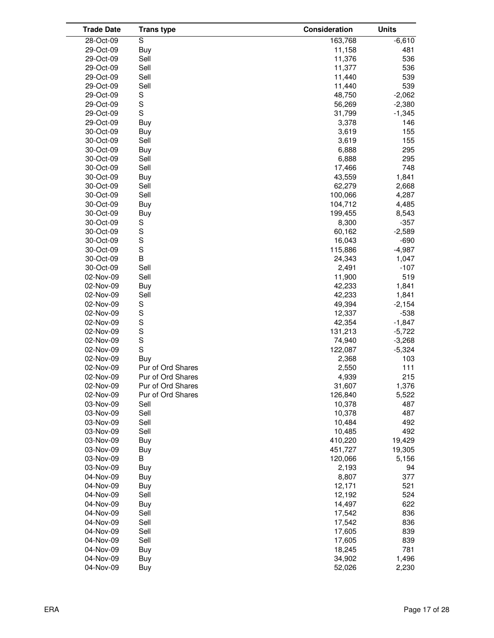| <b>Trade Date</b> | <b>Trans type</b> | Consideration | <b>Units</b> |
|-------------------|-------------------|---------------|--------------|
| 28-Oct-09         | S                 | 163,768       | $-6,610$     |
| 29-Oct-09         | <b>Buy</b>        | 11,158        | 481          |
| 29-Oct-09         | Sell              | 11,376        | 536          |
| 29-Oct-09         | Sell              | 11,377        | 536          |
| 29-Oct-09         | Sell              | 11,440        | 539          |
| 29-Oct-09         | Sell              | 11,440        | 539          |
| 29-Oct-09         | S                 | 48,750        | $-2,062$     |
| 29-Oct-09         | S                 | 56,269        | $-2,380$     |
| 29-Oct-09         | $\mathbf S$       | 31,799        | $-1,345$     |
| 29-Oct-09         | Buy               | 3,378         | 146          |
| 30-Oct-09         | Buy               | 3,619         | 155          |
| 30-Oct-09         | Sell              | 3,619         | 155          |
| 30-Oct-09         | Buy               | 6,888         | 295          |
| 30-Oct-09         | Sell              | 6,888         | 295          |
| 30-Oct-09         | Sell              | 17,466        | 748          |
| 30-Oct-09         | Buy               | 43,559        | 1,841        |
| 30-Oct-09         | Sell              | 62,279        | 2,668        |
| 30-Oct-09         | Sell              | 100,066       | 4,287        |
| 30-Oct-09         | Buy               | 104,712       | 4,485        |
| 30-Oct-09         | Buy               | 199,455       | 8,543        |
| 30-Oct-09         | S                 | 8,300         | $-357$       |
| 30-Oct-09         | $\mathbb S$       | 60,162        | $-2,589$     |
| 30-Oct-09         | $\mathbf S$       | 16,043        | $-690$       |
| 30-Oct-09         | S                 | 115,886       | $-4,987$     |
| 30-Oct-09         | B                 | 24,343        | 1,047        |
| 30-Oct-09         | Sell              | 2,491         | $-107$       |
| 02-Nov-09         | Sell              | 11,900        | 519          |
| 02-Nov-09         | Buy               | 42,233        | 1,841        |
| 02-Nov-09         | Sell              | 42,233        | 1,841        |
| 02-Nov-09         | S                 | 49,394        | $-2,154$     |
| 02-Nov-09         | S                 | 12,337        | $-538$       |
| 02-Nov-09         | S                 | 42,354        | $-1,847$     |
| 02-Nov-09         | S                 | 131,213       | $-5,722$     |
| 02-Nov-09         | S                 | 74,940        | $-3,268$     |
| 02-Nov-09         | S                 | 122,087       | $-5,324$     |
| 02-Nov-09         | Buy               | 2,368         | 103          |
| 02-Nov-09         | Pur of Ord Shares | 2,550         | 111          |
| 02-Nov-09         | Pur of Ord Shares | 4,939         | 215          |
| 02-Nov-09         | Pur of Ord Shares | 31,607        | 1,376        |
| 02-Nov-09         | Pur of Ord Shares | 126,840       | 5,522        |
| 03-Nov-09         | Sell              | 10,378        | 487          |
| 03-Nov-09         | Sell              | 10,378        | 487          |
| 03-Nov-09         | Sell              | 10,484        | 492          |
| 03-Nov-09         | Sell              | 10,485        | 492          |
| 03-Nov-09         | Buy               | 410,220       | 19,429       |
| 03-Nov-09         | Buy               | 451,727       | 19,305       |
| 03-Nov-09         | В                 | 120,066       | 5,156        |
| 03-Nov-09         | Buy               | 2,193         | 94           |
| 04-Nov-09         | Buy               | 8,807         | 377          |
| 04-Nov-09         | Buy               | 12,171        | 521          |
| 04-Nov-09         | Sell              | 12,192        | 524          |
| 04-Nov-09         | Buy               | 14,497        | 622          |
| 04-Nov-09         | Sell              | 17,542        | 836          |
| 04-Nov-09         | Sell              | 17,542        | 836          |
| 04-Nov-09         | Sell              | 17,605        | 839          |
| 04-Nov-09         | Sell              | 17,605        | 839          |
| 04-Nov-09         | Buy               | 18,245        | 781          |
| 04-Nov-09         | Buy               | 34,902        | 1,496        |
| 04-Nov-09         | Buy               | 52,026        | 2,230        |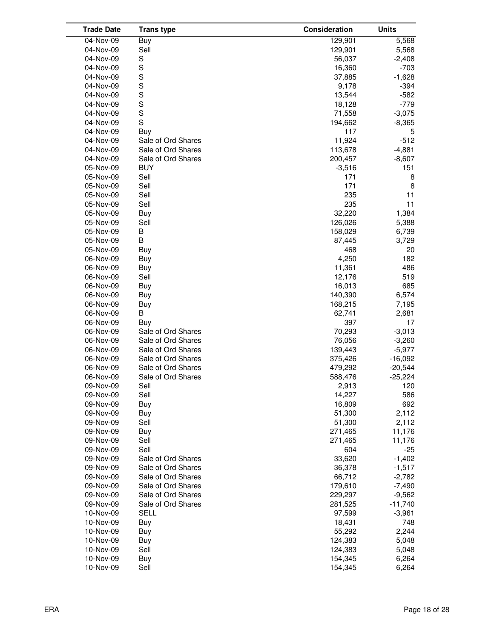| <b>Trade Date</b> | <b>Trans type</b>  | Consideration | <b>Units</b> |
|-------------------|--------------------|---------------|--------------|
| 04-Nov-09         | Buy                | 129,901       | 5,568        |
| 04-Nov-09         | Sell               | 129,901       | 5,568        |
| 04-Nov-09         | S                  | 56,037        | $-2,408$     |
| 04-Nov-09         | S                  | 16,360        | $-703$       |
| 04-Nov-09         | S                  | 37,885        | $-1,628$     |
| 04-Nov-09         | S                  | 9,178         | $-394$       |
| 04-Nov-09         | S                  | 13,544        | $-582$       |
| 04-Nov-09         | S                  | 18,128        | $-779$       |
| 04-Nov-09         | S                  | 71,558        | $-3,075$     |
| 04-Nov-09         | S                  | 194,662       | $-8,365$     |
| 04-Nov-09         | Buy                | 117           | 5            |
| 04-Nov-09         | Sale of Ord Shares | 11,924        | $-512$       |
| 04-Nov-09         | Sale of Ord Shares | 113,678       | $-4,881$     |
| 04-Nov-09         | Sale of Ord Shares | 200,457       | $-8,607$     |
| 05-Nov-09         | <b>BUY</b>         | $-3,516$      | 151          |
| 05-Nov-09         | Sell               | 171           | 8            |
| 05-Nov-09         | Sell               | 171           | 8            |
| 05-Nov-09         | Sell               | 235           | 11           |
| 05-Nov-09         | Sell               | 235           | 11           |
| 05-Nov-09         | Buy                | 32,220        | 1,384        |
| 05-Nov-09         | Sell               | 126,026       | 5,388        |
| 05-Nov-09         | В                  | 158,029       | 6,739        |
| 05-Nov-09         | B                  | 87,445        | 3,729        |
| 05-Nov-09         | Buy                | 468           | 20           |
| 06-Nov-09         | <b>Buy</b>         | 4,250         | 182          |
| 06-Nov-09         | Buy                | 11,361        | 486          |
| 06-Nov-09         | Sell               | 12,176        | 519          |
| 06-Nov-09         | Buy                | 16,013        | 685          |
| 06-Nov-09         | Buy                | 140,390       | 6,574        |
| 06-Nov-09         | Buy                | 168,215       | 7,195        |
| 06-Nov-09         | B                  | 62,741        | 2,681        |
| 06-Nov-09         | Buy                | 397           | 17           |
| 06-Nov-09         | Sale of Ord Shares | 70,293        | $-3,013$     |
| 06-Nov-09         | Sale of Ord Shares | 76,056        | $-3,260$     |
| 06-Nov-09         | Sale of Ord Shares | 139,443       | $-5,977$     |
| 06-Nov-09         | Sale of Ord Shares | 375,426       | $-16,092$    |
| 06-Nov-09         | Sale of Ord Shares | 479,292       | $-20,544$    |
| 06-Nov-09         | Sale of Ord Shares | 588,476       | $-25,224$    |
| 09-Nov-09         | Sell               | 2,913         | 120          |
| 09-Nov-09         | Sell               | 14,227        | 586          |
| 09-Nov-09         | Buy                | 16,809        | 692          |
| 09-Nov-09         | Buy                | 51,300        | 2,112        |
| 09-Nov-09         | Sell               | 51,300        | 2,112        |
| 09-Nov-09         | Buy                | 271,465       | 11,176       |
| 09-Nov-09         | Sell               | 271,465       | 11,176       |
| 09-Nov-09         | Sell               | 604           | $-25$        |
| 09-Nov-09         | Sale of Ord Shares | 33,620        | $-1,402$     |
| 09-Nov-09         | Sale of Ord Shares | 36,378        | $-1,517$     |
| 09-Nov-09         | Sale of Ord Shares | 66,712        | $-2,782$     |
| 09-Nov-09         | Sale of Ord Shares | 179,610       | $-7,490$     |
| 09-Nov-09         | Sale of Ord Shares | 229,297       | $-9,562$     |
| 09-Nov-09         | Sale of Ord Shares | 281,525       | $-11,740$    |
| 10-Nov-09         | <b>SELL</b>        | 97,599        | $-3,961$     |
| 10-Nov-09         | Buy                | 18,431        | 748          |
| 10-Nov-09         | Buy                | 55,292        | 2,244        |
| 10-Nov-09         | Buy                | 124,383       | 5,048        |
| 10-Nov-09         | Sell               | 124,383       | 5,048        |
| 10-Nov-09         | Buy                | 154,345       | 6,264        |
| 10-Nov-09         | Sell               | 154,345       | 6,264        |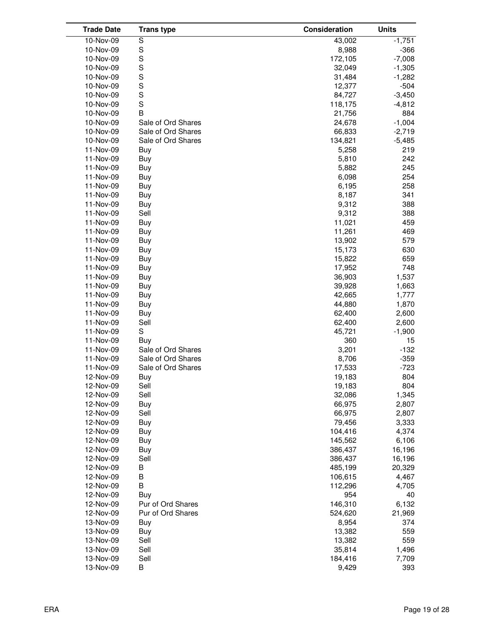| <b>Trade Date</b>      | <b>Trans type</b>        | Consideration    | <b>Units</b> |
|------------------------|--------------------------|------------------|--------------|
| $10-Nov-09$            | S                        | 43,002           | $-1,751$     |
| 10-Nov-09              | S                        | 8,988            | $-366$       |
| 10-Nov-09              | S                        | 172,105          | $-7,008$     |
| 10-Nov-09              | S                        | 32,049           | $-1,305$     |
| 10-Nov-09              | S                        | 31,484           | -1,282       |
| 10-Nov-09              | S                        | 12,377           | $-504$       |
| 10-Nov-09              | S                        | 84,727           | $-3,450$     |
| 10-Nov-09              | S                        | 118,175          | $-4,812$     |
| 10-Nov-09              | B                        | 21,756           | 884          |
| 10-Nov-09              | Sale of Ord Shares       | 24,678           | $-1,004$     |
| 10-Nov-09              | Sale of Ord Shares       | 66,833           | $-2,719$     |
| 10-Nov-09              | Sale of Ord Shares       | 134,821          | $-5,485$     |
| 11-Nov-09              | Buy                      | 5,258            | 219          |
| 11-Nov-09              | Buy                      | 5,810            | 242          |
| 11-Nov-09              | Buy                      | 5,882            | 245          |
| 11-Nov-09              | Buy                      | 6,098            | 254          |
| 11-Nov-09              | Buy                      | 6,195            | 258          |
| 11-Nov-09              | Buy                      | 8,187            | 341          |
| 11-Nov-09              | Buy                      | 9,312            | 388          |
| 11-Nov-09              | Sell                     | 9,312            | 388          |
| 11-Nov-09              | Buy                      | 11,021           | 459          |
| 11-Nov-09              | Buy                      | 11,261           | 469          |
| 11-Nov-09              | Buy                      | 13,902           | 579          |
| 11-Nov-09              | Buy                      | 15,173           | 630          |
| 11-Nov-09              | Buy                      | 15,822           | 659          |
| 11-Nov-09              | Buy                      | 17,952           | 748          |
| 11-Nov-09              | Buy                      | 36,903           | 1,537        |
| 11-Nov-09              | Buy                      | 39,928           | 1,663        |
| 11-Nov-09              | Buy                      | 42,665           | 1,777        |
| 11-Nov-09              | Buy                      | 44,880           | 1,870        |
| 11-Nov-09              | Buy                      | 62,400           | 2,600        |
| 11-Nov-09              | Sell                     | 62,400           | 2,600        |
| 11-Nov-09              | S                        | 45,721           | $-1,900$     |
| 11-Nov-09              | Buy                      | 360              | 15           |
| 11-Nov-09              | Sale of Ord Shares       | 3,201            | $-132$       |
| 11-Nov-09              | Sale of Ord Shares       | 8,706            | $-359$       |
| 11-Nov-09              | Sale of Ord Shares       | 17,533           | $-723$       |
| 12-Nov-09              | Buy                      | 19,183           | 804          |
| 12-Nov-09              | Sell                     | 19,183           | 804          |
| 12-Nov-09              | Sell                     | 32,086           | 1,345        |
| 12-Nov-09              | Buy                      | 66,975           | 2,807        |
| 12-Nov-09              | Sell                     | 66,975           | 2,807        |
| 12-Nov-09              | Buy                      | 79,456           | 3,333        |
| 12-Nov-09              | Buy                      | 104,416          | 4,374        |
| 12-Nov-09              | Buy                      | 145,562          | 6,106        |
| 12-Nov-09              | Buy                      | 386,437          | 16,196       |
| 12-Nov-09              | Sell                     | 386,437          | 16,196       |
| 12-Nov-09              | В                        | 485,199          | 20,329       |
| 12-Nov-09              | B                        | 106,615          | 4,467        |
| 12-Nov-09              | B                        | 112,296          | 4,705        |
| 12-Nov-09              | Buy<br>Pur of Ord Shares | 954<br>146,310   | 40           |
| 12-Nov-09              |                          |                  | 6,132        |
| 12-Nov-09              | Pur of Ord Shares        | 524,620<br>8,954 | 21,969       |
| 13-Nov-09<br>13-Nov-09 | Buy<br>Buy               | 13,382           | 374<br>559   |
| 13-Nov-09              | Sell                     | 13,382           | 559          |
| 13-Nov-09              | Sell                     | 35,814           | 1,496        |
| 13-Nov-09              | Sell                     | 184,416          | 7,709        |
| 13-Nov-09              | В                        | 9,429            | 393          |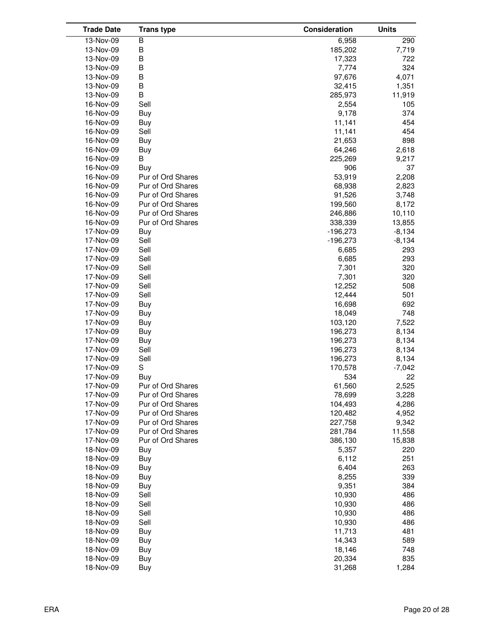| <b>Trade Date</b> | <b>Trans type</b> | Consideration | <b>Units</b> |
|-------------------|-------------------|---------------|--------------|
| 13-Nov-09         | B                 | 6,958         | 290          |
| 13-Nov-09         | B                 | 185,202       | 7,719        |
| 13-Nov-09         | B                 | 17,323        | 722          |
| 13-Nov-09         | B                 | 7,774         | 324          |
| 13-Nov-09         | B                 | 97,676        | 4,071        |
| 13-Nov-09         | B                 | 32,415        | 1,351        |
| 13-Nov-09         | B                 | 285,973       | 11,919       |
| 16-Nov-09         | Sell              | 2,554         | 105          |
| 16-Nov-09         | Buy               | 9,178         | 374          |
| 16-Nov-09         | Buy               | 11,141        | 454          |
| 16-Nov-09         | Sell              | 11,141        | 454          |
| 16-Nov-09         | Buy               | 21,653        | 898          |
| 16-Nov-09         | Buy               | 64,246        | 2,618        |
| 16-Nov-09         | В                 | 225,269       | 9,217        |
| 16-Nov-09         | Buy               | 906           | 37           |
| 16-Nov-09         | Pur of Ord Shares | 53,919        | 2,208        |
| 16-Nov-09         | Pur of Ord Shares | 68,938        | 2,823        |
| 16-Nov-09         | Pur of Ord Shares | 91,526        | 3,748        |
| 16-Nov-09         | Pur of Ord Shares | 199,560       | 8,172        |
| 16-Nov-09         | Pur of Ord Shares | 246,886       | 10,110       |
| 16-Nov-09         | Pur of Ord Shares | 338,339       | 13,855       |
| 17-Nov-09         | Buy               | $-196,273$    | $-8,134$     |
| 17-Nov-09         | Sell              | $-196,273$    | $-8,134$     |
| 17-Nov-09         | Sell              | 6,685         | 293          |
| 17-Nov-09         | Sell              | 6,685         | 293          |
| 17-Nov-09         | Sell              | 7,301         | 320          |
| 17-Nov-09         | Sell              | 7,301         | 320          |
| 17-Nov-09         | Sell              | 12,252        | 508          |
| 17-Nov-09         | Sell              | 12,444        | 501          |
| 17-Nov-09         | Buy               | 16,698        | 692          |
| 17-Nov-09         | Buy               | 18,049        | 748          |
| 17-Nov-09         | Buy               | 103,120       | 7,522        |
| 17-Nov-09         | Buy               | 196,273       | 8,134        |
| 17-Nov-09         | Buy               | 196,273       | 8,134        |
| 17-Nov-09         | Sell              | 196,273       | 8,134        |
| 17-Nov-09         | Sell              | 196,273       | 8,134        |
| 17-Nov-09         | S                 | 170,578       | $-7,042$     |
| 17-Nov-09         | Buy               | 534           | 22           |
| 17-Nov-09         | Pur of Ord Shares | 61,560        | 2,525        |
| 17-Nov-09         | Pur of Ord Shares | 78,699        | 3,228        |
| 17-Nov-09         | Pur of Ord Shares | 104,493       | 4,286        |
| 17-Nov-09         | Pur of Ord Shares | 120,482       | 4,952        |
| 17-Nov-09         | Pur of Ord Shares | 227,758       | 9,342        |
| 17-Nov-09         | Pur of Ord Shares | 281,784       | 11,558       |
| 17-Nov-09         | Pur of Ord Shares | 386,130       | 15,838       |
| 18-Nov-09         | Buy               | 5,357         | 220          |
| 18-Nov-09         | Buy               | 6,112         | 251          |
| 18-Nov-09         | Buy               | 6,404         | 263          |
| 18-Nov-09         | Buy               | 8,255         | 339          |
| 18-Nov-09         | Buy               | 9,351         | 384          |
| 18-Nov-09         | Sell              | 10,930        | 486          |
| 18-Nov-09         | Sell              | 10,930        | 486          |
| 18-Nov-09         | Sell              | 10,930        | 486          |
| 18-Nov-09         | Sell              | 10,930        | 486          |
| 18-Nov-09         | Buy               | 11,713        | 481          |
| 18-Nov-09         | Buy               | 14,343        | 589          |
| 18-Nov-09         | Buy               | 18,146        | 748          |
| 18-Nov-09         | Buy               | 20,334        | 835          |
| 18-Nov-09         | Buy               | 31,268        | 1,284        |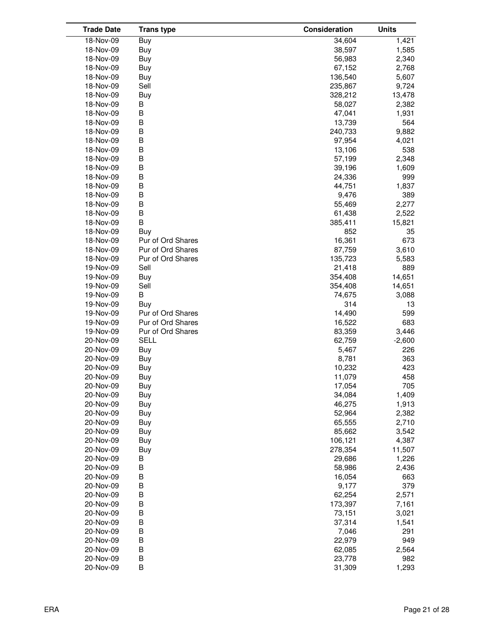| <b>Trade Date</b> | <b>Trans type</b> | Consideration | <b>Units</b> |
|-------------------|-------------------|---------------|--------------|
| $18-Nov-09$       | Buy               | 34,604        | 1,421        |
| 18-Nov-09         | Buy               | 38,597        | 1,585        |
| 18-Nov-09         | Buy               | 56,983        | 2,340        |
| 18-Nov-09         | Buy               | 67,152        | 2,768        |
| 18-Nov-09         | Buy               | 136,540       | 5,607        |
| 18-Nov-09         | Sell              | 235,867       | 9,724        |
| 18-Nov-09         | Buy               | 328,212       | 13,478       |
| 18-Nov-09         | B                 | 58,027        | 2,382        |
| 18-Nov-09         | B                 | 47,041        | 1,931        |
| 18-Nov-09         | B                 | 13,739        | 564          |
| 18-Nov-09         | B                 | 240,733       | 9,882        |
| 18-Nov-09         | B                 | 97,954        | 4,021        |
| 18-Nov-09         | B                 | 13,106        | 538          |
| 18-Nov-09         | B                 | 57,199        | 2,348        |
| 18-Nov-09         | B                 | 39,196        | 1,609        |
| 18-Nov-09         | B                 | 24,336        | 999          |
| 18-Nov-09         | B                 | 44,751        | 1,837        |
| 18-Nov-09         | B                 | 9,476         | 389          |
| 18-Nov-09         | B                 | 55,469        | 2,277        |
| 18-Nov-09         | B                 | 61,438        | 2,522        |
| 18-Nov-09         | B                 | 385,411       | 15,821       |
| 18-Nov-09         | Buy               | 852           | 35           |
| 18-Nov-09         | Pur of Ord Shares | 16,361        | 673          |
| 18-Nov-09         | Pur of Ord Shares | 87,759        | 3,610        |
| 18-Nov-09         | Pur of Ord Shares | 135,723       | 5,583        |
| 19-Nov-09         | Sell              | 21,418        | 889          |
| 19-Nov-09         | Buy               | 354,408       | 14,651       |
| 19-Nov-09         | Sell              | 354,408       | 14,651       |
| 19-Nov-09         | B                 | 74,675        | 3,088        |
| 19-Nov-09         | Buy               | 314           | 13           |
| 19-Nov-09         | Pur of Ord Shares | 14,490        | 599          |
| 19-Nov-09         | Pur of Ord Shares | 16,522        | 683          |
| 19-Nov-09         | Pur of Ord Shares | 83,359        | 3,446        |
| 20-Nov-09         | <b>SELL</b>       | 62,759        | $-2,600$     |
| 20-Nov-09         | Buy               | 5,467         | 226          |
| 20-Nov-09         | Buy               | 8,781         | 363          |
| 20-Nov-09         | Buy               | 10,232        | 423          |
| 20-Nov-09         | Buy               | 11,079        | 458          |
| 20-Nov-09         | Buy               | 17,054        | 705          |
| 20-Nov-09         | Buy               | 34,084        | 1,409        |
| 20-Nov-09         | Buy               | 46,275        | 1,913        |
| 20-Nov-09         | Buy               | 52,964        | 2,382        |
| 20-Nov-09         | Buy               | 65,555        | 2,710        |
| 20-Nov-09         | Buy               | 85,662        | 3,542        |
| 20-Nov-09         | Buy               | 106,121       | 4,387        |
| 20-Nov-09         | Buy               | 278,354       | 11,507       |
| 20-Nov-09         | В                 | 29,686        | 1,226        |
| 20-Nov-09         | В                 | 58,986        | 2,436        |
| 20-Nov-09         | B                 | 16,054        | 663          |
| 20-Nov-09         | B                 | 9,177         | 379          |
| 20-Nov-09         | B                 | 62,254        | 2,571        |
| 20-Nov-09         | B                 | 173,397       | 7,161        |
| 20-Nov-09         | B                 | 73,151        | 3,021        |
| 20-Nov-09         | B                 | 37,314        | 1,541        |
| 20-Nov-09         | B                 | 7,046         | 291          |
| 20-Nov-09         | B                 | 22,979        | 949          |
| 20-Nov-09         | B                 | 62,085        | 2,564        |
| 20-Nov-09         | B                 | 23,778        | 982          |
| 20-Nov-09         | В                 | 31,309        | 1,293        |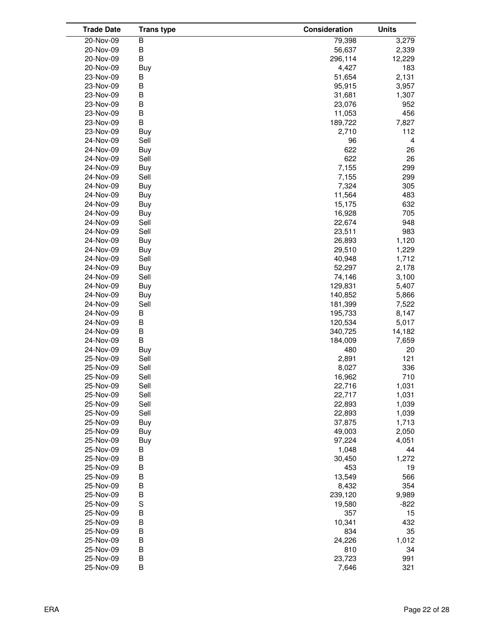| <b>Trade Date</b> | <b>Trans type</b> | Consideration | <b>Units</b> |
|-------------------|-------------------|---------------|--------------|
| 20-Nov-09         | В                 | 79,398        | 3,279        |
| 20-Nov-09         | B                 | 56,637        | 2,339        |
| 20-Nov-09         | B                 | 296,114       | 12,229       |
| 20-Nov-09         | Buy               | 4,427         | 183          |
| 23-Nov-09         | В                 | 51,654        | 2,131        |
| 23-Nov-09         | B                 | 95,915        | 3,957        |
| 23-Nov-09         | B                 | 31,681        | 1,307        |
| 23-Nov-09         | B                 | 23,076        | 952          |
| 23-Nov-09         | B                 | 11,053        | 456          |
| 23-Nov-09         | B                 | 189,722       | 7,827        |
| 23-Nov-09         | Buy               | 2,710         | 112          |
| 24-Nov-09         | Sell              | 96            | 4            |
| 24-Nov-09         | Buy               | 622           | 26           |
| 24-Nov-09         | Sell              | 622           | 26           |
| 24-Nov-09         | Buy               | 7,155         | 299          |
| 24-Nov-09         | Sell              | 7,155         | 299          |
| 24-Nov-09         | Buy               | 7,324         | 305          |
| 24-Nov-09         | Buy               | 11,564        | 483          |
|                   |                   | 15,175        | 632          |
| 24-Nov-09         | Buy               |               |              |
| 24-Nov-09         | Buy               | 16,928        | 705          |
| 24-Nov-09         | Sell              | 22,674        | 948          |
| 24-Nov-09         | Sell              | 23,511        | 983          |
| 24-Nov-09         | Buy               | 26,893        | 1,120        |
| 24-Nov-09         | Buy               | 29,510        | 1,229        |
| 24-Nov-09         | Sell              | 40,948        | 1,712        |
| 24-Nov-09         | Buy               | 52,297        | 2,178        |
| 24-Nov-09         | Sell              | 74,146        | 3,100        |
| 24-Nov-09         | Buy               | 129,831       | 5,407        |
| 24-Nov-09         | Buy               | 140,852       | 5,866        |
| 24-Nov-09         | Sell              | 181,399       | 7,522        |
| 24-Nov-09         | B                 | 195,733       | 8,147        |
| 24-Nov-09         | B                 | 120,534       | 5,017        |
| 24-Nov-09         | B                 | 340,725       | 14,182       |
| 24-Nov-09         | B                 | 184,009       | 7,659        |
| 24-Nov-09         | Buy               | 480           | 20           |
| 25-Nov-09         | Sell              | 2,891         | 121          |
| 25-Nov-09         | Sell              | 8,027         | 336          |
| 25-Nov-09         | Sell              | 16,962        | 710          |
| 25-Nov-09         | Sell              | 22,716        | 1,031        |
| 25-Nov-09         | Sell              | 22,717        | 1,031        |
| 25-Nov-09         | Sell              | 22,893        | 1,039        |
| 25-Nov-09         | Sell              | 22,893        | 1,039        |
| 25-Nov-09         | Buy               | 37,875        | 1,713        |
| 25-Nov-09         | Buy               | 49,003        | 2,050        |
| 25-Nov-09         | Buy               | 97,224        | 4,051        |
| 25-Nov-09         | В                 | 1,048         | 44           |
| 25-Nov-09         | B                 | 30,450        | 1,272        |
| 25-Nov-09         | B                 | 453           | 19           |
| 25-Nov-09         | B                 | 13,549        | 566          |
| 25-Nov-09         | B                 | 8,432         | 354          |
| 25-Nov-09         | B                 | 239,120       | 9,989        |
| 25-Nov-09         | S                 | 19,580        | $-822$       |
| 25-Nov-09         | B                 | 357           | 15           |
| 25-Nov-09         | B                 | 10,341        | 432          |
| 25-Nov-09         | B                 | 834           | 35           |
| 25-Nov-09         | B                 | 24,226        | 1,012        |
| 25-Nov-09         | B                 | 810           | 34           |
| 25-Nov-09         | B                 | 23,723        | 991          |
| 25-Nov-09         | В                 | 7,646         | 321          |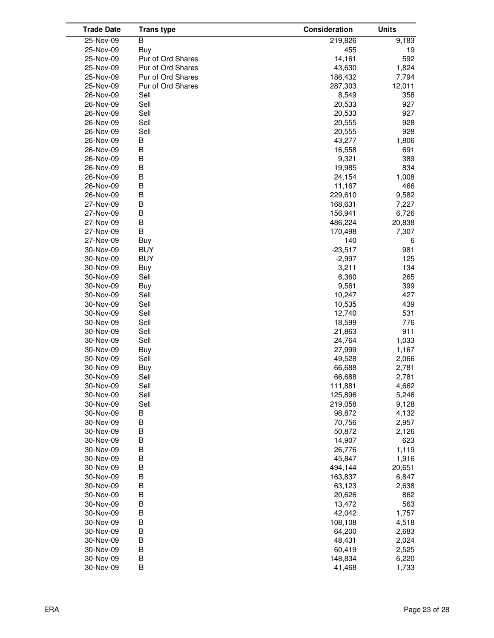| <b>Trade Date</b> | <b>Trans type</b> | Consideration | <b>Units</b> |
|-------------------|-------------------|---------------|--------------|
| 25-Nov-09         | B                 | 219,826       | 9,183        |
| 25-Nov-09         | Buy               | 455           | 19           |
| 25-Nov-09         | Pur of Ord Shares | 14,161        | 592          |
| 25-Nov-09         | Pur of Ord Shares | 43,630        | 1,824        |
| 25-Nov-09         | Pur of Ord Shares | 186,432       | 7,794        |
| 25-Nov-09         | Pur of Ord Shares | 287,303       | 12,011       |
| 26-Nov-09         | Sell              | 8,549         | 358          |
| 26-Nov-09         | Sell              | 20,533        | 927          |
| 26-Nov-09         | Sell              | 20,533        | 927          |
| 26-Nov-09         | Sell              | 20,555        | 928          |
| 26-Nov-09         | Sell              | 20,555        | 928          |
| 26-Nov-09         | B                 | 43,277        | 1,806        |
| 26-Nov-09         | B                 | 16,558        | 691          |
| 26-Nov-09         | B                 | 9,321         | 389          |
| 26-Nov-09         | B                 | 19,985        | 834          |
| 26-Nov-09         | B                 | 24,154        | 1,008        |
| 26-Nov-09         | B                 | 11,167        | 466          |
| 26-Nov-09         | B                 |               |              |
|                   |                   | 229,610       | 9,582        |
| 27-Nov-09         | B                 | 168,631       | 7,227        |
| 27-Nov-09         | B                 | 156,941       | 6,726        |
| 27-Nov-09         | B                 | 486,224       | 20,838       |
| 27-Nov-09         | B                 | 170,498       | 7,307        |
| 27-Nov-09         | <b>Buy</b>        | 140           | 6            |
| 30-Nov-09         | <b>BUY</b>        | $-23,517$     | 981          |
| 30-Nov-09         | <b>BUY</b>        | $-2,997$      | 125          |
| 30-Nov-09         | <b>Buy</b>        | 3,211         | 134          |
| 30-Nov-09         | Sell              | 6,360         | 265          |
| 30-Nov-09         | Buy               | 9,561         | 399          |
| 30-Nov-09         | Sell              | 10,247        | 427          |
| 30-Nov-09         | Sell              | 10,535        | 439          |
| 30-Nov-09         | Sell              | 12,740        | 531          |
| 30-Nov-09         | Sell              | 18,599        | 776          |
| 30-Nov-09         | Sell              | 21,863        | 911          |
| 30-Nov-09         | Sell              | 24,764        | 1,033        |
| 30-Nov-09         | Buy               | 27,999        | 1,167        |
| 30-Nov-09         | Sell              | 49,528        | 2,066        |
| 30-Nov-09         | Buy               | 66,688        | 2,781        |
| 30-Nov-09         | Sell              | 66,688        | 2,781        |
| 30-Nov-09         | Sell              | 111,881       | 4,662        |
| 30-Nov-09         | Sell              | 125,896       | 5,246        |
| 30-Nov-09         | Sell              | 219,058       | 9,128        |
| 30-Nov-09         | B                 | 98,872        | 4,132        |
| 30-Nov-09         | B                 | 70,756        | 2,957        |
| 30-Nov-09         | B                 | 50,872        | 2,126        |
| 30-Nov-09         | B                 | 14,907        | 623          |
| 30-Nov-09         | B                 | 26,776        | 1,119        |
| 30-Nov-09         | B                 | 45,847        | 1,916        |
| 30-Nov-09         | B                 | 494,144       | 20,651       |
| 30-Nov-09         | B                 | 163,837       | 6,847        |
| 30-Nov-09         | B                 | 63,123        | 2,638        |
| 30-Nov-09         | B                 | 20,626        | 862          |
| 30-Nov-09         | B                 | 13,472        | 563          |
| 30-Nov-09         | B                 | 42,042        | 1,757        |
| 30-Nov-09         | B                 | 108,108       | 4,518        |
| 30-Nov-09         | B                 | 64,200        | 2,683        |
| 30-Nov-09         | B                 | 48,431        | 2,024        |
| 30-Nov-09         | B                 | 60,419        | 2,525        |
| 30-Nov-09         | B                 | 148,834       | 6,220        |
| 30-Nov-09         | B                 | 41,468        | 1,733        |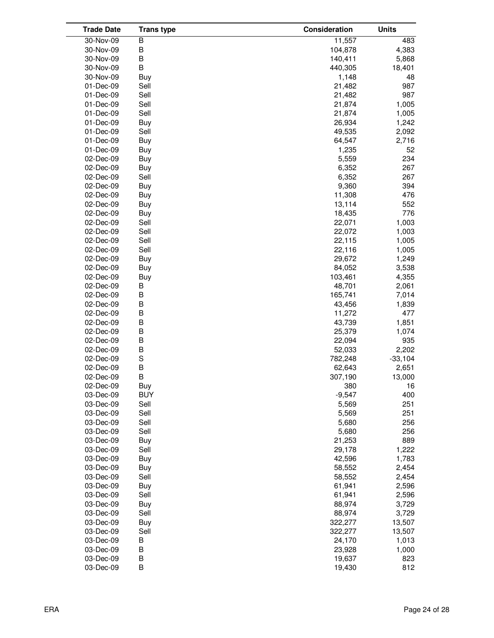| <b>Trade Date</b> | <b>Trans type</b> | Consideration | <b>Units</b> |
|-------------------|-------------------|---------------|--------------|
| 30-Nov-09         | B                 | 11,557        | 483          |
| 30-Nov-09         | B                 | 104,878       | 4,383        |
| 30-Nov-09         | B                 | 140,411       | 5,868        |
| 30-Nov-09         | B                 | 440,305       | 18,401       |
| 30-Nov-09         | Buy               | 1,148         | 48           |
| 01-Dec-09         | Sell              | 21,482        | 987          |
| 01-Dec-09         | Sell              | 21,482        | 987          |
| 01-Dec-09         | Sell              | 21,874        | 1,005        |
| 01-Dec-09         | Sell              | 21,874        | 1,005        |
| 01-Dec-09         | Buy               | 26,934        | 1,242        |
| 01-Dec-09         | Sell              | 49,535        | 2,092        |
| 01-Dec-09         | Buy               | 64,547        | 2,716        |
|                   |                   | 1,235         |              |
| 01-Dec-09         | Buy               |               | 52           |
| 02-Dec-09         | Buy               | 5,559         | 234          |
| 02-Dec-09         | Buy               | 6,352         | 267          |
| 02-Dec-09         | Sell              | 6,352         | 267          |
| 02-Dec-09         | Buy               | 9,360         | 394          |
| 02-Dec-09         | Buy               | 11,308        | 476          |
| 02-Dec-09         | Buy               | 13,114        | 552          |
| 02-Dec-09         | Buy               | 18,435        | 776          |
| 02-Dec-09         | Sell              | 22,071        | 1,003        |
| 02-Dec-09         | Sell              | 22,072        | 1,003        |
| 02-Dec-09         | Sell              | 22,115        | 1,005        |
| 02-Dec-09         | Sell              | 22,116        | 1,005        |
| 02-Dec-09         | Buy               | 29,672        | 1,249        |
| 02-Dec-09         | Buy               | 84,052        | 3,538        |
| 02-Dec-09         | Buy               | 103,461       | 4,355        |
| 02-Dec-09         | B                 | 48,701        | 2,061        |
| 02-Dec-09         | B                 | 165,741       | 7,014        |
| 02-Dec-09         | B                 | 43,456        | 1,839        |
| 02-Dec-09         | B                 | 11,272        | 477          |
| 02-Dec-09         | B                 | 43,739        | 1,851        |
| 02-Dec-09         | B                 | 25,379        | 1,074        |
| 02-Dec-09         | B                 | 22,094        | 935          |
| 02-Dec-09         | B                 | 52,033        | 2,202        |
| 02-Dec-09         | S                 | 782,248       | $-33,104$    |
| 02-Dec-09         | B                 | 62,643        | 2,651        |
| 02-Dec-09         | В                 | 307,190       | 13,000       |
| 02-Dec-09         | Buy               | 380           | 16           |
| 03-Dec-09         | <b>BUY</b>        | $-9,547$      | 400          |
| 03-Dec-09         | Sell              | 5,569         | 251          |
| 03-Dec-09         | Sell              | 5,569         | 251          |
| 03-Dec-09         | Sell              | 5,680         | 256          |
| 03-Dec-09         | Sell              | 5,680         | 256          |
| 03-Dec-09         | Buy               | 21,253        | 889          |
| 03-Dec-09         | Sell              | 29,178        | 1,222        |
| 03-Dec-09         | Buy               | 42,596        | 1,783        |
| 03-Dec-09         | Buy               | 58,552        | 2,454        |
| 03-Dec-09         | Sell              | 58,552        | 2,454        |
| 03-Dec-09         | Buy               | 61,941        | 2,596        |
| 03-Dec-09         | Sell              | 61,941        | 2,596        |
| 03-Dec-09         | Buy               | 88,974        | 3,729        |
|                   | Sell              | 88,974        |              |
| 03-Dec-09         |                   |               | 3,729        |
| 03-Dec-09         | Buy               | 322,277       | 13,507       |
| 03-Dec-09         | Sell              | 322,277       | 13,507       |
| 03-Dec-09         | B                 | 24,170        | 1,013        |
| 03-Dec-09         | B                 | 23,928        | 1,000        |
| 03-Dec-09         | B                 | 19,637        | 823          |
| 03-Dec-09         | В                 | 19,430        | 812          |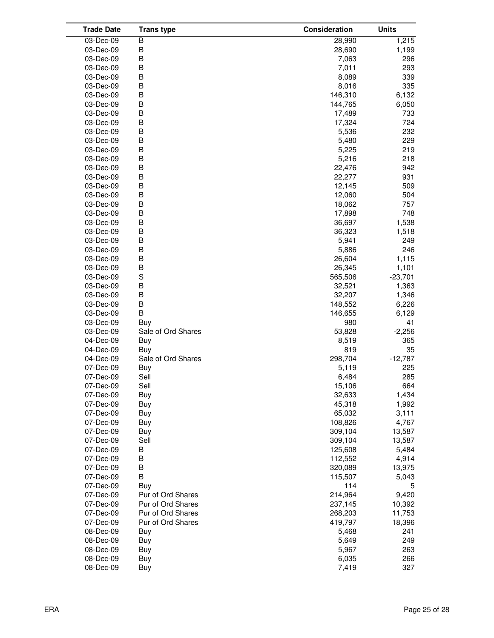| <b>Trade Date</b> | <b>Trans type</b>  | Consideration | <b>Units</b> |
|-------------------|--------------------|---------------|--------------|
| 03-Dec-09         | B                  | 28,990        | 1,215        |
| 03-Dec-09         | B                  | 28,690        | 1,199        |
| 03-Dec-09         | B                  | 7,063         | 296          |
| 03-Dec-09         | B                  | 7,011         | 293          |
| 03-Dec-09         | B                  | 8,089         | 339          |
| 03-Dec-09         | B                  | 8,016         | 335          |
| 03-Dec-09         | B                  | 146,310       | 6,132        |
| 03-Dec-09         | B                  | 144,765       | 6,050        |
| 03-Dec-09         | B                  | 17,489        | 733          |
| 03-Dec-09         | B                  | 17,324        | 724          |
| 03-Dec-09         | В                  | 5,536         | 232          |
| 03-Dec-09         | B                  | 5,480         | 229          |
| 03-Dec-09         | B                  | 5,225         | 219          |
| 03-Dec-09         | B                  | 5,216         | 218          |
| 03-Dec-09         | B                  | 22,476        | 942          |
| 03-Dec-09         | B                  | 22,277        | 931          |
| 03-Dec-09         | B                  | 12,145        | 509          |
| 03-Dec-09         | B                  | 12,060        | 504          |
| 03-Dec-09         | B                  | 18,062        | 757          |
| 03-Dec-09         | В                  | 17,898        | 748          |
| 03-Dec-09         | В                  | 36,697        | 1,538        |
| 03-Dec-09         | B                  | 36,323        | 1,518        |
| 03-Dec-09         | B                  | 5,941         | 249          |
| 03-Dec-09         | B                  | 5,886         | 246          |
| 03-Dec-09         | B                  | 26,604        | 1,115        |
| 03-Dec-09         | B                  | 26,345        | 1,101        |
| 03-Dec-09         | $\mathbf S$        | 565,506       | $-23,701$    |
| 03-Dec-09         | В                  | 32,521        | 1,363        |
| 03-Dec-09         | B                  | 32,207        | 1,346        |
| 03-Dec-09         | B                  | 148,552       | 6,226        |
| 03-Dec-09         | B                  | 146,655       | 6,129        |
| 03-Dec-09         | Buy                | 980           | 41           |
| 03-Dec-09         | Sale of Ord Shares | 53,828        | $-2,256$     |
| 04-Dec-09         | Buy                | 8,519         | 365          |
| 04-Dec-09         | Buy                | 819           | 35           |
| 04-Dec-09         | Sale of Ord Shares | 298,704       | $-12,787$    |
| 07-Dec-09         | Buy                | 5,119         | 225          |
| 07-Dec-09         | Sell               | 6,484         | 285          |
| 07-Dec-09         | Sell               | 15,106        | 664          |
| 07-Dec-09         | Buy                | 32,633        | 1,434        |
| 07-Dec-09         | Buy                | 45,318        | 1,992        |
| 07-Dec-09         | Buy                | 65,032        | 3,111        |
| 07-Dec-09         | Buy                | 108,826       | 4,767        |
| 07-Dec-09         | <b>Buy</b>         | 309,104       | 13,587       |
| 07-Dec-09         | Sell               | 309,104       | 13,587       |
| 07-Dec-09         | В                  | 125,608       | 5,484        |
| 07-Dec-09         | B                  | 112,552       | 4,914        |
| 07-Dec-09         | B                  | 320,089       | 13,975       |
| 07-Dec-09         | B                  | 115,507       | 5,043        |
| 07-Dec-09         | Buy                | 114           | 5            |
| 07-Dec-09         | Pur of Ord Shares  | 214,964       | 9,420        |
| 07-Dec-09         | Pur of Ord Shares  | 237,145       | 10,392       |
| 07-Dec-09         | Pur of Ord Shares  | 268,203       | 11,753       |
| 07-Dec-09         | Pur of Ord Shares  | 419,797       | 18,396       |
| 08-Dec-09         | Buy                | 5,468         | 241          |
| 08-Dec-09         | Buy                | 5,649         | 249          |
| 08-Dec-09         | Buy                | 5,967         | 263          |
| 08-Dec-09         | Buy                | 6,035         | 266          |
| 08-Dec-09         | Buy                | 7,419         | 327          |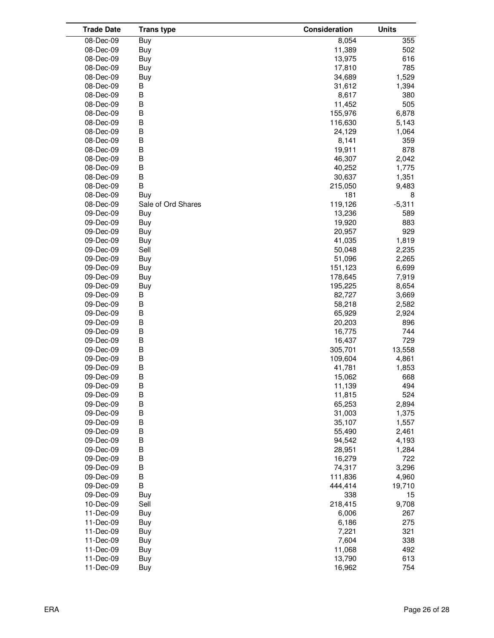| <b>Trade Date</b>      | <b>Trans type</b>  | Consideration    | <b>Units</b> |
|------------------------|--------------------|------------------|--------------|
| 08-Dec-09              | Buy                | 8,054            | 355          |
| 08-Dec-09              | Buy                | 11,389           | 502          |
| 08-Dec-09              | Buy                | 13,975           | 616          |
| 08-Dec-09              | Buy                | 17,810           | 785          |
| 08-Dec-09              | Buy                | 34,689           | 1,529        |
| 08-Dec-09              | В                  | 31,612           | 1,394        |
| 08-Dec-09              | B                  | 8,617            | 380          |
| 08-Dec-09              | B                  | 11,452           | 505          |
| 08-Dec-09              | B                  | 155,976          | 6,878        |
| 08-Dec-09              | B                  | 116,630          | 5,143        |
| 08-Dec-09              | B                  | 24,129           | 1,064        |
| 08-Dec-09              | B                  | 8,141            | 359          |
| 08-Dec-09              | $\mathsf B$        | 19,911           | 878          |
| 08-Dec-09              | B                  | 46,307           | 2,042        |
| 08-Dec-09              | B                  | 40,252           | 1,775        |
| 08-Dec-09              | B                  | 30,637           | 1,351        |
| 08-Dec-09              | B                  | 215,050          | 9,483        |
| 08-Dec-09              | Buy                | 181              | 8            |
| 08-Dec-09              | Sale of Ord Shares | 119,126          | $-5,311$     |
| 09-Dec-09              | Buy                | 13,236           | 589          |
| 09-Dec-09              | Buy                | 19,920           | 883          |
| 09-Dec-09              | Buy                | 20,957           | 929          |
| 09-Dec-09              | Buy                | 41,035           | 1,819        |
| 09-Dec-09              | Sell               | 50,048           | 2,235        |
| 09-Dec-09              | Buy                | 51,096           | 2,265        |
| 09-Dec-09              | Buy                | 151,123          | 6,699        |
| 09-Dec-09              | <b>Buy</b>         | 178,645          | 7,919        |
| 09-Dec-09              | Buy                | 195,225          | 8,654        |
| 09-Dec-09              | B                  | 82,727           | 3,669        |
| 09-Dec-09              | B                  | 58,218           | 2,582        |
| 09-Dec-09              | B                  | 65,929           | 2,924        |
| 09-Dec-09              | B                  | 20,203           | 896          |
| 09-Dec-09              | B                  | 16,775           | 744          |
| 09-Dec-09              | B                  | 16,437           | 729          |
| 09-Dec-09              | B                  | 305,701          | 13,558       |
| 09-Dec-09              | B<br>B             | 109,604          | 4,861        |
| 09-Dec-09              | B                  | 41,781           | 1,853        |
| 09-Dec-09<br>09-Dec-09 | B                  | 15,062<br>11,139 | 668<br>494   |
| 09-Dec-09              | B                  | 11,815           | 524          |
| 09-Dec-09              | B                  | 65,253           | 2,894        |
| 09-Dec-09              | B                  | 31,003           | 1,375        |
| 09-Dec-09              | B                  | 35,107           | 1,557        |
| 09-Dec-09              | B                  | 55,490           | 2,461        |
| 09-Dec-09              | B                  | 94,542           | 4,193        |
| 09-Dec-09              | $\sf B$            | 28,951           | 1,284        |
| 09-Dec-09              | B                  | 16,279           | 722          |
| 09-Dec-09              | B                  | 74,317           | 3,296        |
| 09-Dec-09              | B                  | 111,836          | 4,960        |
| 09-Dec-09              | B                  | 444,414          | 19,710       |
| 09-Dec-09              | Buy                | 338              | 15           |
| 10-Dec-09              | Sell               | 218,415          | 9,708        |
| 11-Dec-09              | Buy                | 6,006            | 267          |
| 11-Dec-09              | Buy                | 6,186            | 275          |
| 11-Dec-09              | Buy                | 7,221            | 321          |
| 11-Dec-09              | Buy                | 7,604            | 338          |
| 11-Dec-09              | Buy                | 11,068           | 492          |
| 11-Dec-09              | Buy                | 13,790           | 613          |
| 11-Dec-09              | Buy                | 16,962           | 754          |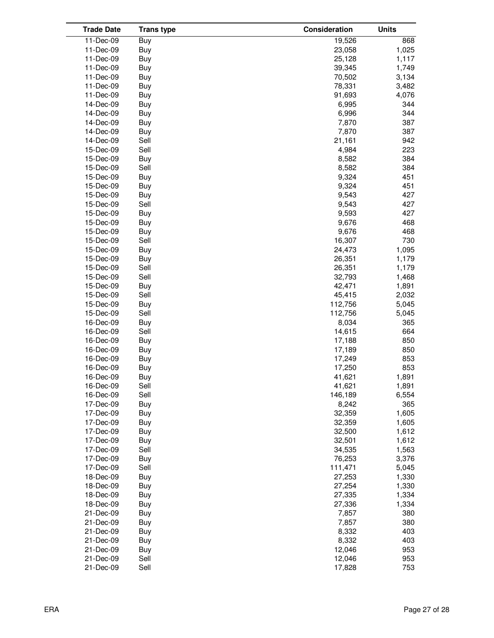| <b>Trade Date</b> | <b>Trans type</b> | Consideration | <b>Units</b> |
|-------------------|-------------------|---------------|--------------|
| 11-Dec-09         | Buy               | 19,526        | 868          |
| 11-Dec-09         | Buy               | 23,058        | 1,025        |
| 11-Dec-09         | Buy               | 25,128        | 1,117        |
| 11-Dec-09         | Buy               | 39,345        | 1,749        |
| 11-Dec-09         | Buy               | 70,502        | 3,134        |
| 11-Dec-09         | Buy               | 78,331        | 3,482        |
| 11-Dec-09         | Buy               | 91,693        | 4,076        |
| 14-Dec-09         | Buy               | 6,995         | 344          |
| 14-Dec-09         | Buy               | 6,996         | 344          |
| 14-Dec-09         | Buy               | 7,870         | 387          |
| 14-Dec-09         | Buy               | 7,870         | 387          |
| 14-Dec-09         | Sell              | 21,161        | 942          |
| 15-Dec-09         | Sell              | 4,984         | 223          |
| 15-Dec-09         | Buy               | 8,582         | 384          |
| 15-Dec-09         | Sell              | 8,582         | 384          |
| 15-Dec-09         | Buy               | 9,324         | 451          |
| 15-Dec-09         | Buy               | 9,324         | 451          |
| 15-Dec-09         | Buy               | 9,543         | 427          |
| 15-Dec-09         | Sell              | 9,543         | 427          |
| 15-Dec-09         | Buy               | 9,593         | 427          |
|                   |                   |               | 468          |
| 15-Dec-09         | Buy               | 9,676         |              |
| 15-Dec-09         | Buy               | 9,676         | 468          |
| 15-Dec-09         | Sell              | 16,307        | 730          |
| 15-Dec-09         | Buy               | 24,473        | 1,095        |
| 15-Dec-09         | Buy               | 26,351        | 1,179        |
| 15-Dec-09         | Sell              | 26,351        | 1,179        |
| 15-Dec-09         | Sell              | 32,793        | 1,468        |
| 15-Dec-09         | Buy               | 42,471        | 1,891        |
| 15-Dec-09         | Sell              | 45,415        | 2,032        |
| 15-Dec-09         | Buy               | 112,756       | 5,045        |
| 15-Dec-09         | Sell              | 112,756       | 5,045        |
| 16-Dec-09         | Buy               | 8,034         | 365          |
| 16-Dec-09         | Sell              | 14,615        | 664          |
| 16-Dec-09         | Buy               | 17,188        | 850          |
| 16-Dec-09         | Buy               | 17,189        | 850          |
| 16-Dec-09         | Buy               | 17,249        | 853          |
| 16-Dec-09         | Buy               | 17,250        | 853          |
| 16-Dec-09         | Buy               | 41,621        | 1,891        |
| 16-Dec-09         | Sell              | 41,621        | 1,891        |
| 16-Dec-09         | Sell              | 146,189       | 6,554        |
| 17-Dec-09         | Buy               | 8,242         | 365          |
| 17-Dec-09         | Buy               | 32,359        | 1,605        |
| 17-Dec-09         | Buy               | 32,359        | 1,605        |
| 17-Dec-09         | Buy               | 32,500        | 1,612        |
| 17-Dec-09         | Buy               | 32,501        | 1,612        |
| 17-Dec-09         | Sell              | 34,535        | 1,563        |
| 17-Dec-09         | Buy               | 76,253        | 3,376        |
| 17-Dec-09         | Sell              | 111,471       | 5,045        |
| 18-Dec-09         | Buy               | 27,253        | 1,330        |
| 18-Dec-09         | Buy               | 27,254        | 1,330        |
| 18-Dec-09         | Buy               | 27,335        | 1,334        |
| 18-Dec-09         | Buy               | 27,336        | 1,334        |
| 21-Dec-09         | Buy               | 7,857         | 380          |
| 21-Dec-09         | Buy               | 7,857         | 380          |
| 21-Dec-09         | Buy               | 8,332         | 403          |
| 21-Dec-09         | Buy               | 8,332         | 403          |
| 21-Dec-09         | Buy               | 12,046        | 953          |
| 21-Dec-09         | Sell              | 12,046        | 953          |
| 21-Dec-09         | Sell              | 17,828        | 753          |